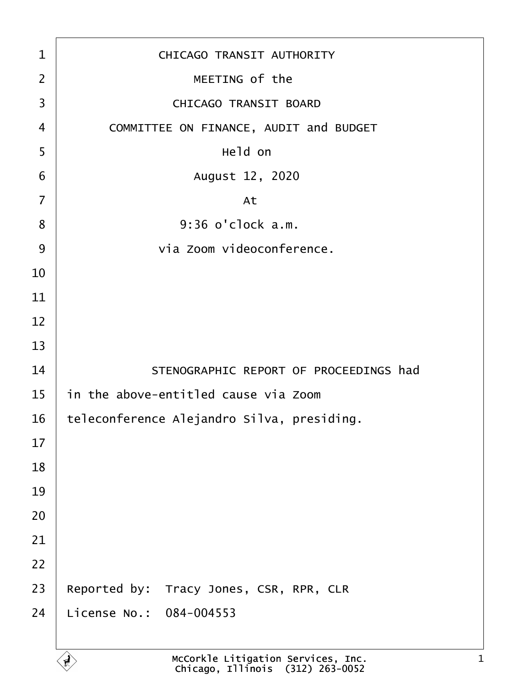| 1              | <b>CHICAGO TRANSIT AUTHORITY</b>           |
|----------------|--------------------------------------------|
| 2              | MEETING of the                             |
| 3              | <b>CHICAGO TRANSIT BOARD</b>               |
| 4              | COMMITTEE ON FINANCE, AUDIT and BUDGET     |
| 5              | Held on                                    |
| 6              | August 12, 2020                            |
| $\overline{7}$ | At                                         |
| 8              | 9:36 o'clock a.m.                          |
| 9              | via Zoom videoconference.                  |
| 10             |                                            |
| 11             |                                            |
| 12             |                                            |
| 13             |                                            |
| 14             | STENOGRAPHIC REPORT OF PROCEEDINGS had     |
| 15             | in the above-entitled cause via Zoom       |
| 16             | teleconference Alejandro Silva, presiding. |
| 17             |                                            |
| 18             |                                            |
| 19             |                                            |
| 20             |                                            |
| 21             |                                            |
| 22             |                                            |
| 23             | Reported by: Tracy Jones, CSR, RPR, CLR    |
| 24             | License No.: 084-004553                    |
|                |                                            |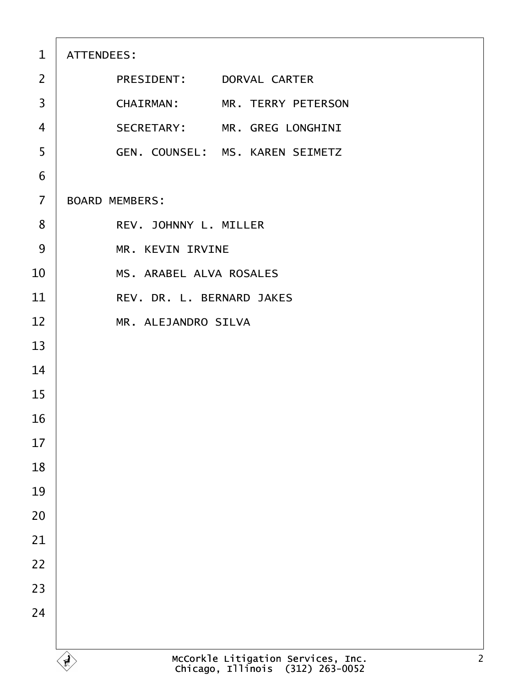| $\mathbf{1}$   | ATTENDEES:                             |
|----------------|----------------------------------------|
| 2              | PRESIDENT: DORVAL CARTER               |
| 3              | CHAIRMAN: MR. TERRY PETERSON           |
| $\overline{4}$ | SECRETARY: MR. GREG LONGHINI           |
| 5              | <b>GEN. COUNSEL: MS. KAREN SEIMETZ</b> |
| 6              |                                        |
| $\overline{7}$ | <b>BOARD MEMBERS:</b>                  |
| 8              | REV. JOHNNY L. MILLER                  |
| 9              | <b>MR. KEVIN IRVINE</b>                |
| 10             | <b>MS. ARABEL ALVA ROSALES</b>         |
| 11             | REV. DR. L. BERNARD JAKES              |
| 12             | MR. ALEJANDRO SILVA                    |
| 13             |                                        |
| 14             |                                        |
| 15             |                                        |
| 16             |                                        |
| 17             |                                        |
| 18             |                                        |
| 19             |                                        |
| 20             |                                        |
| 21             |                                        |
| 22             |                                        |
| 23             |                                        |
| 24             |                                        |
|                |                                        |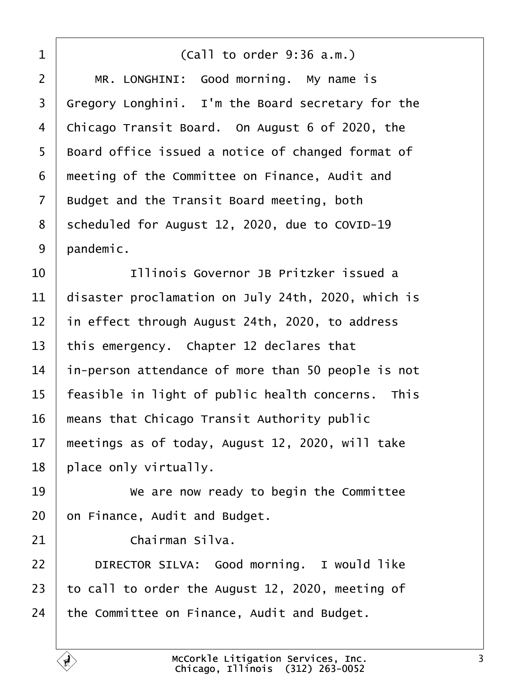<span id="page-2-0"></span>

| 1              | (Call to order 9:36 a.m.)                          |
|----------------|----------------------------------------------------|
| $\overline{2}$ | MR. LONGHINI: Good morning. My name is             |
| 3              | Gregory Longhini. I'm the Board secretary for the  |
| 4              | Chicago Transit Board. On August 6 of 2020, the    |
| 5              | Board office issued a notice of changed format of  |
| 6              | meeting of the Committee on Finance, Audit and     |
| 7              | Budget and the Transit Board meeting, both         |
| 8              | scheduled for August 12, 2020, due to COVID-19     |
| 9              | pandemic.                                          |
| 10             | Illinois Governor JB Pritzker issued a             |
| 11             | disaster proclamation on July 24th, 2020, which is |
| 12             | in effect through August 24th, 2020, to address    |
| 13             | this emergency. Chapter 12 declares that           |
| 14             | in-person attendance of more than 50 people is not |
| 15             | feasible in light of public health concerns. This  |
| 16             | means that Chicago Transit Authority public        |
| 17             | meetings as of today, August 12, 2020, will take   |
| 18             | place only virtually.                              |
| 19             | We are now ready to begin the Committee            |
| 20             | on Finance, Audit and Budget.                      |
| 21             | Chairman Silva.                                    |
| 22             | DIRECTOR SILVA: Good morning. I would like         |
| 23             | to call to order the August 12, 2020, meeting of   |
| 24             | the Committee on Finance, Audit and Budget.        |
|                |                                                    |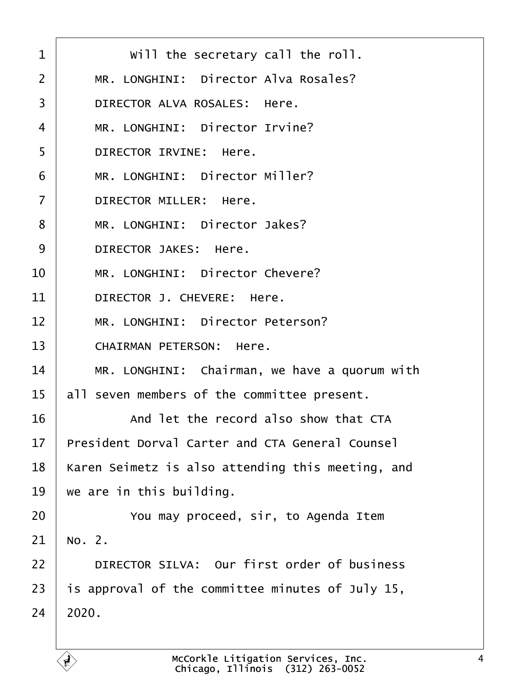<span id="page-3-0"></span>

| 1              | Will the secretary call the roll.                      |
|----------------|--------------------------------------------------------|
| $\overline{2}$ | MR. LONGHINI: Director Alva Rosales?                   |
| 3              | DIRECTOR ALVA ROSALES: Here.                           |
| 4              | MR. LONGHINI: Director Irvine?                         |
| 5              | <b>DIRECTOR IRVINE: Here.</b>                          |
| 6              | MR. LONGHINI: Director Miller?                         |
| $\overline{7}$ | <b>DIRECTOR MILLER: Here.</b>                          |
| 8              | MR. LONGHINI: Director Jakes?                          |
| 9              | <b>DIRECTOR JAKES: Here.</b>                           |
| 10             | MR. LONGHINI: Director Chevere?                        |
| 11             | DIRECTOR J. CHEVERE: Here.                             |
| 12             | MR. LONGHINI: Director Peterson?                       |
| 13             | <b>CHAIRMAN PETERSON: Here.</b>                        |
| 14             | MR. LONGHINI: Chairman, we have a quorum with          |
| 15             | all seven members of the committee present.            |
| 16             | And let the record also show that CTA                  |
| 17             | <b>President Dorval Carter and CTA General Counsel</b> |
| 18             | Karen Seimetz is also attending this meeting, and      |
| 19             | we are in this building.                               |
| 20             | You may proceed, sir, to Agenda Item                   |
| 21             | No. 2.                                                 |
| 22             | DIRECTOR SILVA: Our first order of business            |
| 23             | is approval of the committee minutes of July 15,       |
| 24             | 2020.                                                  |
|                |                                                        |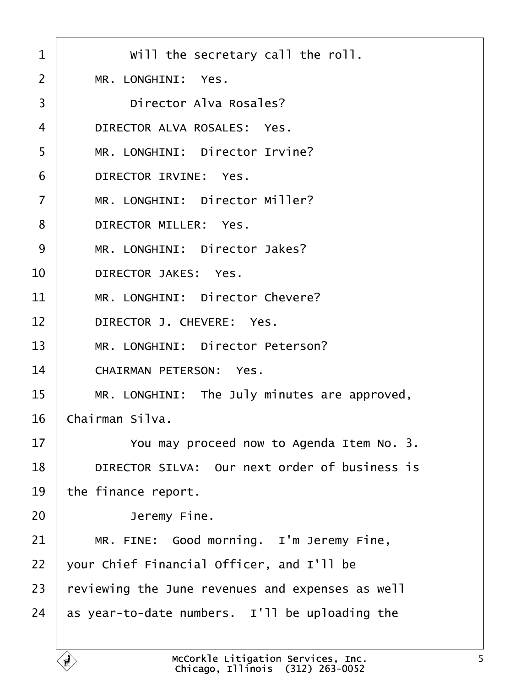<span id="page-4-0"></span>

| 1               | Will the secretary call the roll.                |
|-----------------|--------------------------------------------------|
| 2               | MR. LONGHINI: Yes.                               |
| 3               | Director Alva Rosales?                           |
| 4               | DIRECTOR ALVA ROSALES: Yes.                      |
| 5               | MR. LONGHINI: Director Irvine?                   |
| 6               | DIRECTOR IRVINE: Yes.                            |
| $\overline{7}$  | MR. LONGHINI: Director Miller?                   |
| 8               | <b>DIRECTOR MILLER: Yes.</b>                     |
| 9               | MR. LONGHINI: Director Jakes?                    |
| 10              | <b>DIRECTOR JAKES: Yes.</b>                      |
| 11              | MR. LONGHINI: Director Chevere?                  |
| 12 <sub>2</sub> | DIRECTOR J. CHEVERE: Yes.                        |
| 13              | MR. LONGHINI: Director Peterson?                 |
| 14              | <b>CHAIRMAN PETERSON: Yes.</b>                   |
| 15              | MR. LONGHINI: The July minutes are approved,     |
| 16              | Chairman Silva.                                  |
| 17              | You may proceed now to Agenda Item No. 3.        |
| 18              | DIRECTOR SILVA: Our next order of business is    |
| 19              | the finance report.                              |
| 20              | Jeremy Fine.                                     |
| 21              | MR. FINE: Good morning. I'm Jeremy Fine,         |
| 22              | your Chief Financial Officer, and I'll be        |
| 23              | reviewing the June revenues and expenses as well |
| 24              | as year-to-date numbers. I'll be uploading the   |
|                 |                                                  |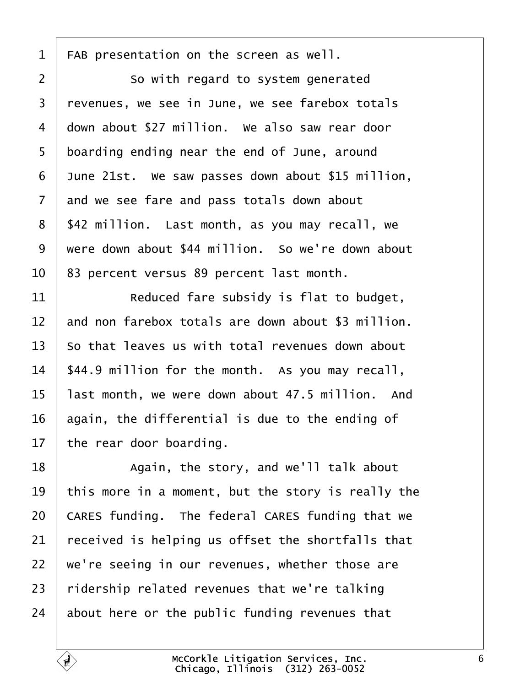<span id="page-5-0"></span>1 FAB presentation on the screen as well.  $2 \mid$  So with regard to system generated 3 revenues, we see in June, we see farebox totals 4 down about \$27 million. We also saw rear door 5 boarding ending near the end of June, around 6 June 21st. We saw passes down about \$15 million, 7 and we see fare and pass totals down about 8 \$42 million. Last month, as you may recall, we 9 were down about \$44 million. So we're down about 10 83 percent versus 89 percent last month.  $11$   $\parallel$  Reduced fare subsidy is flat to budget, 12 and non farebox totals are down about \$3 million. 13 So that leaves us with total revenues down about 14 \$44.9 million for the month. As you may recall, 15 last month, we were down about 47.5 million. And 16 again, the differential is due to the ending of 17 the rear door boarding. 18 | Again, the story, and we'll talk about 19 this more in a moment, but the story is really the 20 CARES funding. The federal CARES funding that we 21 received is helping us offset the shortfalls that 22 we're seeing in our revenues, whether those are 23 ridership related revenues that we're talking 24 about here or the public funding revenues that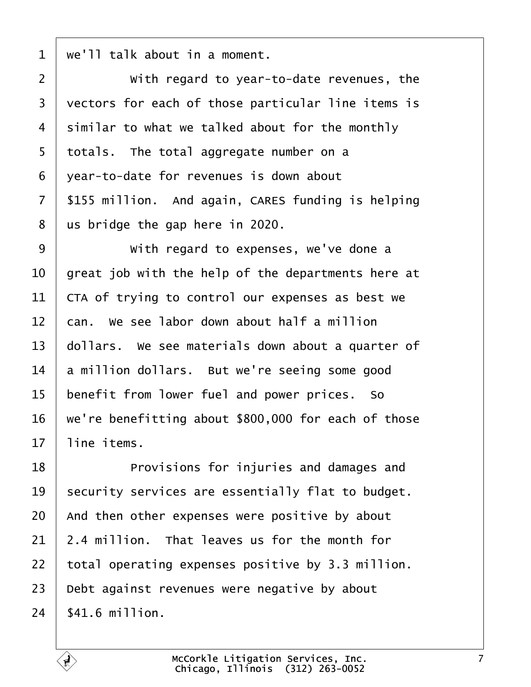<span id="page-6-0"></span> $1$  we'll talk about in a moment.

| $\overline{2}$ | With regard to year-to-date revenues, the           |
|----------------|-----------------------------------------------------|
| 3              | vectors for each of those particular line items is  |
| 4              | similar to what we talked about for the monthly     |
| 5              | totals. The total aggregate number on a             |
| 6              | year-to-date for revenues is down about             |
| $\overline{7}$ | \$155 million. And again, CARES funding is helping  |
| 8              | us bridge the gap here in 2020.                     |
| 9              | With regard to expenses, we've done a               |
| 10             | great job with the help of the departments here at  |
| 11             | CTA of trying to control our expenses as best we    |
| 12             | can. We see labor down about half a million         |
| 13             | dollars. We see materials down about a quarter of   |
| 14             | a million dollars. But we're seeing some good       |
| 15             | benefit from lower fuel and power prices. So        |
| 16             | we're benefitting about \$800,000 for each of those |
| 17             | line items.                                         |
| 18             | Provisions for injuries and damages and             |
| 19             | security services are essentially flat to budget.   |
| 20             | And then other expenses were positive by about      |
| 21             | 2.4 million. That leaves us for the month for       |
| 22             | total operating expenses positive by 3.3 million.   |
| 23             | Debt against revenues were negative by about        |
| 24             | \$41.6 million.                                     |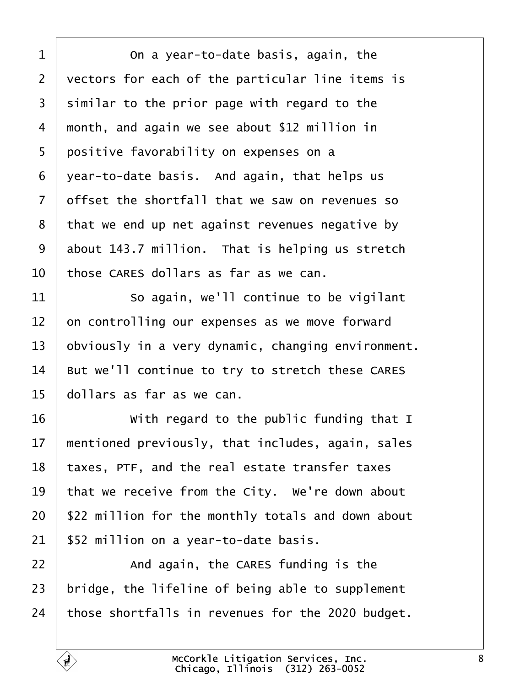<span id="page-7-0"></span>

| 1  | On a year-to-date basis, again, the                |
|----|----------------------------------------------------|
| 2  | vectors for each of the particular line items is   |
| 3  | similar to the prior page with regard to the       |
| 4  | month, and again we see about \$12 million in      |
| 5  | positive favorability on expenses on a             |
| 6  | year-to-date basis. And again, that helps us       |
| 7  | offset the shortfall that we saw on revenues so    |
| 8  | that we end up net against revenues negative by    |
| 9  | about 143.7 million. That is helping us stretch    |
| 10 | those CARES dollars as far as we can.              |
| 11 | So again, we'll continue to be vigilant            |
| 12 | on controlling our expenses as we move forward     |
| 13 | obviously in a very dynamic, changing environment. |
| 14 | But we'll continue to try to stretch these CARES   |
| 15 | dollars as far as we can.                          |
| 16 | With regard to the public funding that I           |
| 17 | mentioned previously, that includes, again, sales  |
| 18 | taxes, PTF, and the real estate transfer taxes     |
| 19 | that we receive from the City. We're down about    |
| 20 | \$22 million for the monthly totals and down about |
| 21 | \$52 million on a year-to-date basis.              |
| 22 | And again, the CARES funding is the                |
| 23 | bridge, the lifeline of being able to supplement   |
| 24 | those shortfalls in revenues for the 2020 budget.  |
|    |                                                    |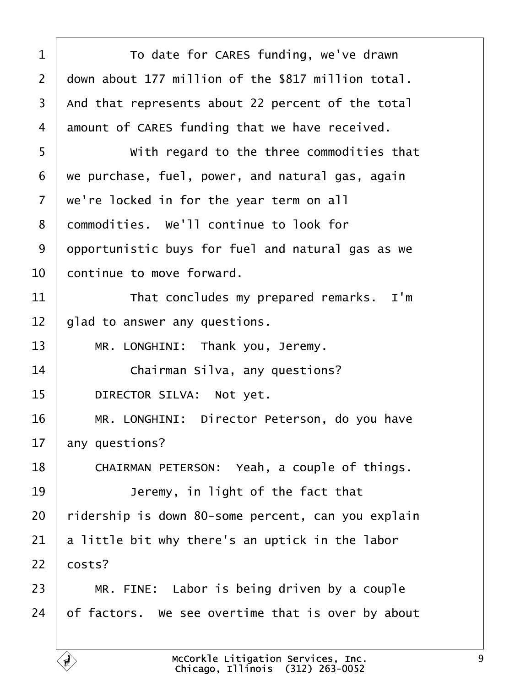<span id="page-8-0"></span>

| 1              | To date for CARES funding, we've drawn             |
|----------------|----------------------------------------------------|
| 2              | down about 177 million of the \$817 million total. |
| 3              | And that represents about 22 percent of the total  |
| 4              | amount of CARES funding that we have received.     |
| 5              | With regard to the three commodities that          |
| 6              | we purchase, fuel, power, and natural gas, again   |
| $\overline{7}$ | we're locked in for the year term on all           |
| 8              | dommodities. We'll continue to look for            |
| 9              | dpportunistic buys for fuel and natural gas as we  |
| 10             | continue to move forward.                          |
| 11             | That concludes my prepared remarks. I'm            |
| 12             | glad to answer any questions.                      |
| 13             | MR. LONGHINI: Thank you, Jeremy.                   |
| 14             | Chairman Silva, any questions?                     |
| 15             | DIRECTOR SILVA: Not yet.                           |
| 16             | MR. LONGHINI: Director Peterson, do you have       |
| 17             | any questions?                                     |
| 18             | CHAIRMAN PETERSON: Yeah, a couple of things.       |
| 19             | Jeremy, in light of the fact that                  |
| 20             | ridership is down 80-some percent, can you explain |
| 21             | a little bit why there's an uptick in the labor    |
| 22             | costs?                                             |
| 23             | MR. FINE: Labor is being driven by a couple        |
| 24             | of factors. We see overtime that is over by about  |
|                |                                                    |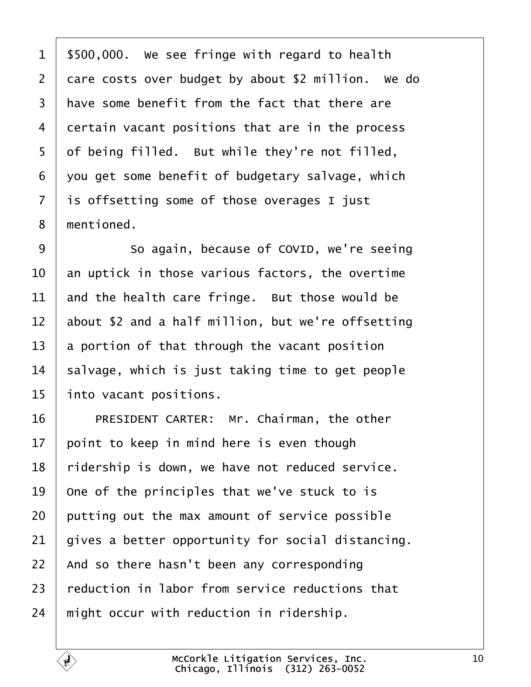- <span id="page-9-0"></span>1 \$500,000. We see fringe with regard to health
- 2 dare costs over budget by about \$2 million. We do
- 3 have some benefit from the fact that there are
- 4 dertain vacant positions that are in the process
- 5 of being filled. But while they're not filled,
- ·6· ·you get some benefit of budgetary salvage, which
- 7 is offsetting some of those overages I just
- 8 mentioned.
- 9 **So again, because of COVID, we're seeing**
- 10 an uptick in those various factors, the overtime
- 11 and the health care fringe. But those would be
- 12 about \$2 and a half million, but we're offsetting
- 13 a portion of that through the vacant position
- 14 salvage, which is just taking time to get people
- 15 into vacant positions.
- 16 | PRESIDENT CARTER: Mr. Chairman, the other
- 17 point to keep in mind here is even though
- 18 ridership is down, we have not reduced service.
- 19 One of the principles that we've stuck to is
- 20 putting out the max amount of service possible
- 21 gives a better opportunity for social distancing.
- 22 And so there hasn't been any corresponding
- 23 reduction in labor from service reductions that
- 24 might occur with reduction in ridership.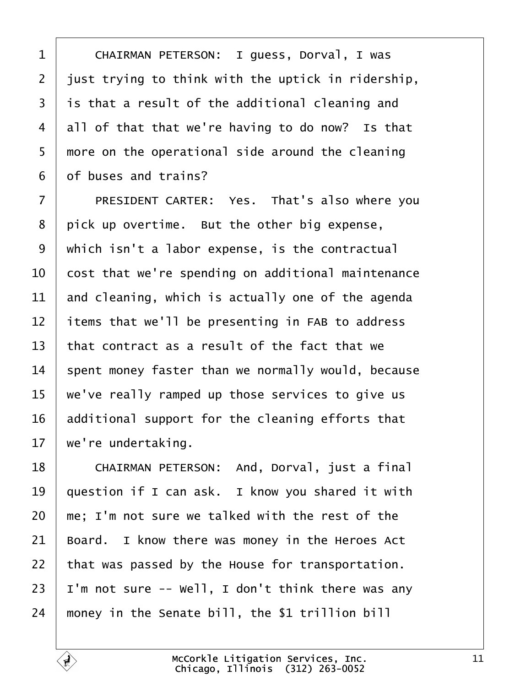<span id="page-10-0"></span>

| 1              | CHAIRMAN PETERSON: I guess, Dorval, I was          |
|----------------|----------------------------------------------------|
| $\overline{2}$ | just trying to think with the uptick in ridership, |
| 3              | is that a result of the additional cleaning and    |
| 4              | all of that that we're having to do now? Is that   |
| 5              | more on the operational side around the cleaning   |
| 6              | of buses and trains?                               |
| $\overline{7}$ | PRESIDENT CARTER: Yes. That's also where you       |
| 8              | pick up overtime. But the other big expense,       |
| 9              | which isn't a labor expense, is the contractual    |
| 10             | cost that we're spending on additional maintenance |
| 11             | and cleaning, which is actually one of the agenda  |
| 12             | items that we'll be presenting in FAB to address   |
| 13             | that contract as a result of the fact that we      |
| 14             | spent money faster than we normally would, because |
| 15             | we've really ramped up those services to give us   |
| 16             | additional support for the cleaning efforts that   |
| 17             | we're undertaking.                                 |
| 18             | CHAIRMAN PETERSON: And, Dorval, just a final       |
| 19             | question if I can ask. I know you shared it with   |
| 20             | me; I'm not sure we talked with the rest of the    |
| 21             | Board. I know there was money in the Heroes Act    |
| 22             | that was passed by the House for transportation.   |
| 23             | I'm not sure -- Well, I don't think there was any  |
| 24             | money in the Senate bill, the \$1 trillion bill    |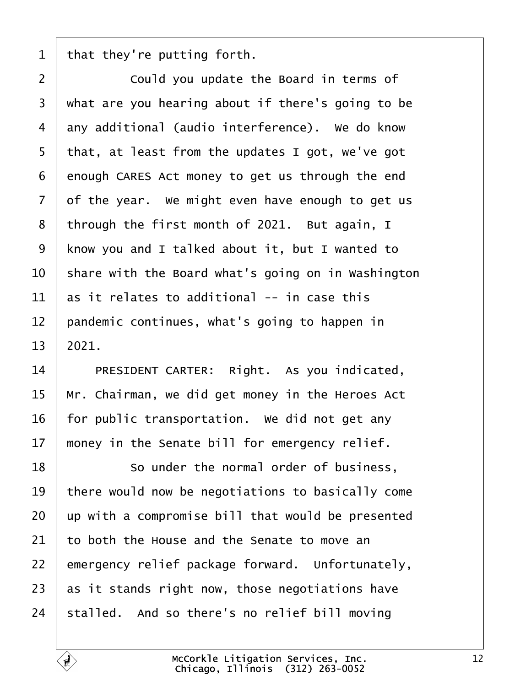<span id="page-11-0"></span>1 that they're putting forth.

| $\overline{2}$ | Could you update the Board in terms of             |
|----------------|----------------------------------------------------|
| 3              | what are you hearing about if there's going to be  |
| 4              | any additional (audio interference). We do know    |
| 5              | that, at least from the updates I got, we've got   |
| 6              | enough CARES Act money to get us through the end   |
| $\overline{7}$ | of the year. We might even have enough to get us   |
| 8              | through the first month of 2021. But again, I      |
| 9              | know you and I talked about it, but I wanted to    |
| 10             | share with the Board what's going on in Washington |
| 11             | as it relates to additional -- in case this        |
| 12             | pandemic continues, what's going to happen in      |
| 13             | 2021.                                              |
| 14             | PRESIDENT CARTER: Right. As you indicated,         |
| 15             | Mr. Chairman, we did get money in the Heroes Act   |
| 16             | for public transportation. We did not get any      |
| 17             | money in the Senate bill for emergency relief.     |
| 18             | So under the normal order of business,             |
| 19             | there would now be negotiations to basically come  |
| 20             | up with a compromise bill that would be presented  |
| 21             | to both the House and the Senate to move an        |
| 22             | emergency relief package forward. Unfortunately,   |
| 23             | as it stands right now, those negotiations have    |
| 24             | stalled. And so there's no relief bill moving      |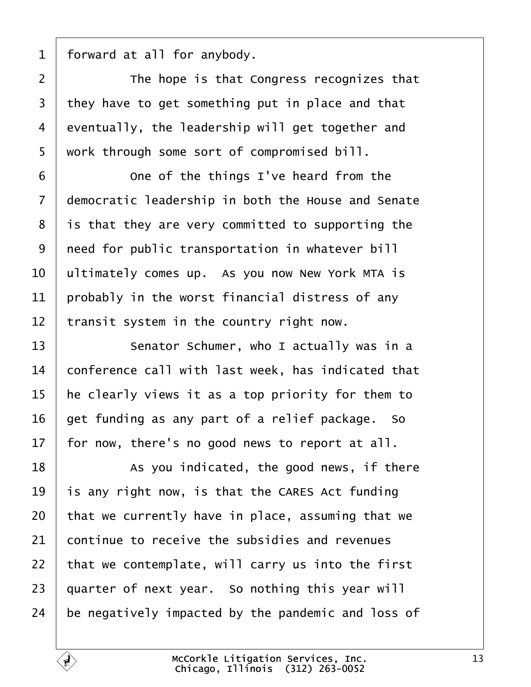<span id="page-12-0"></span>1 forward at all for anybody.

| $\overline{2}$ | The hope is that Congress recognizes that          |
|----------------|----------------------------------------------------|
| 3              | they have to get something put in place and that   |
| $\overline{4}$ | eventually, the leadership will get together and   |
| 5              | work through some sort of compromised bill.        |
| 6              | One of the things I've heard from the              |
| $\overline{7}$ | democratic leadership in both the House and Senate |
| 8              | is that they are very committed to supporting the  |
| 9              | need for public transportation in whatever bill    |
| 10             | ultimately comes up. As you now New York MTA is    |
| 11             | probably in the worst financial distress of any    |
| 12             | transit system in the country right now.           |
| 13             | Senator Schumer, who I actually was in a           |
| 14             | conference call with last week, has indicated that |
| 15             | he clearly views it as a top priority for them to  |
| 16             | get funding as any part of a relief package. So    |
| 17             | for now, there's no good news to report at all.    |
| 18             | As you indicated, the good news, if there          |
| 19             | is any right now, is that the CARES Act funding    |
| 20             | that we currently have in place, assuming that we  |
| 21             | continue to receive the subsidies and revenues     |
| 22             | that we contemplate, will carry us into the first  |
| 23             | quarter of next year. So nothing this year will    |
| 24             | be negatively impacted by the pandemic and loss of |
|                |                                                    |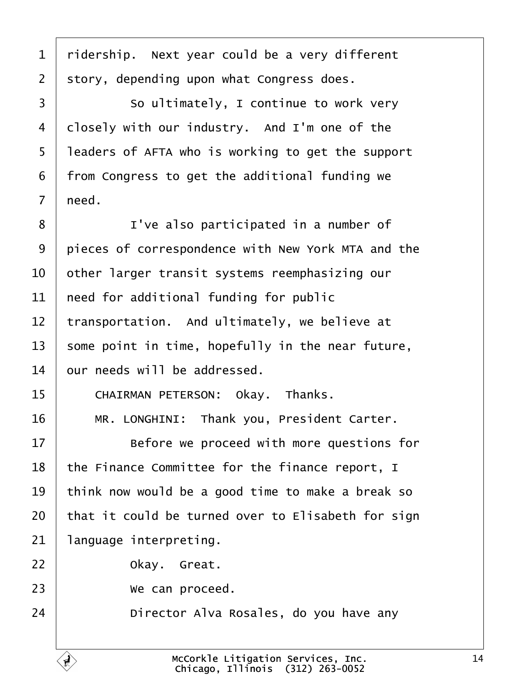<span id="page-13-0"></span>

| $\mathbf 1$    | ridership. Next year could be a very different     |
|----------------|----------------------------------------------------|
| $\overline{2}$ | story, depending upon what Congress does.          |
| 3              | So ultimately, I continue to work very             |
| 4              | dlosely with our industry. And I'm one of the      |
| 5              | leaders of AFTA who is working to get the support  |
| 6              | from Congress to get the additional funding we     |
| $\overline{7}$ | need.                                              |
| 8              | I've also participated in a number of              |
| 9              | pieces of correspondence with New York MTA and the |
| 10             | other larger transit systems reemphasizing our     |
| 11             | heed for additional funding for public             |
| 12             | transportation. And ultimately, we believe at      |
| 13             | some point in time, hopefully in the near future,  |
| 14             | bur needs will be addressed.                       |
| 15             | CHAIRMAN PETERSON: Okay. Thanks.                   |
| 16             | MR. LONGHINI: Thank you, President Carter.         |
| 17             | Before we proceed with more questions for          |
| 18             | the Finance Committee for the finance report, I    |
| 19             | think now would be a good time to make a break so  |
| 20             | that it could be turned over to Elisabeth for sign |
| 21             | language interpreting.                             |
| 22             | Okay. Great.                                       |
| 23             | We can proceed.                                    |
| 24             | Director Alva Rosales, do you have any             |
|                |                                                    |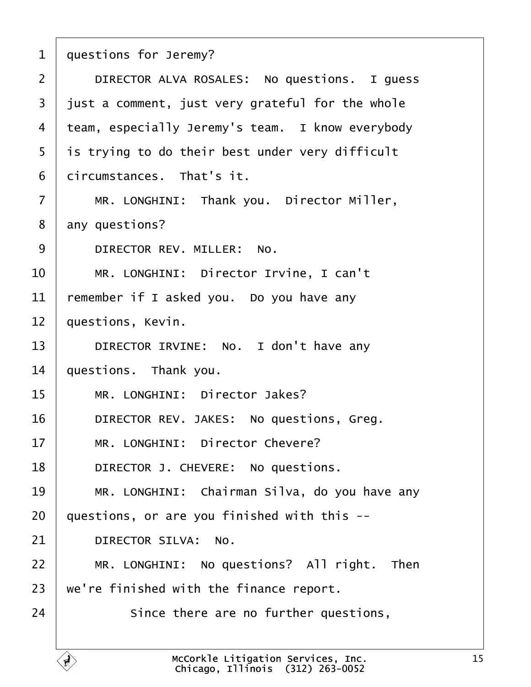- <span id="page-14-0"></span>1 duestions for Jeremy?
- 2 | DIRECTOR ALVA ROSALES: No questions. I quess
- 3 just a comment, just very grateful for the whole
- 4 team, especially Jeremy's team. I know everybody
- 5 is trying to do their best under very difficult
- 6 dircumstances. That's it.
- 7 | MR. LONGHINI: Thank you. Director Miller,
- 8 any questions?
- 9 | DIRECTOR REV. MILLER: No.
- 10 | MR. LONGHINI: Director Irvine, I can't
- 11 remember if I asked you. Do you have any
- 12 **questions, Kevin.**
- 13 | DIRECTOR IRVINE: No. I don't have any
- 14 questions. Thank you.
- 15 | MR. LONGHINI: Director Jakes?
- 16 | DIRECTOR REV. JAKES: No questions, Greg.
- 17 | MR. LONGHINI: Director Chevere?
- 18 | DIRECTOR J. CHEVERE: No questions.
- 19 | MR. LONGHINI: Chairman Silva, do you have any
- 20  $\alpha$  questions, or are you finished with this  $-$
- 21 | DIRECTOR SILVA: No.
- 22 | MR. LONGHINI: No questions? All right. Then
- 23 we're finished with the finance report.
- $24$   $\parallel$  Since there are no further questions,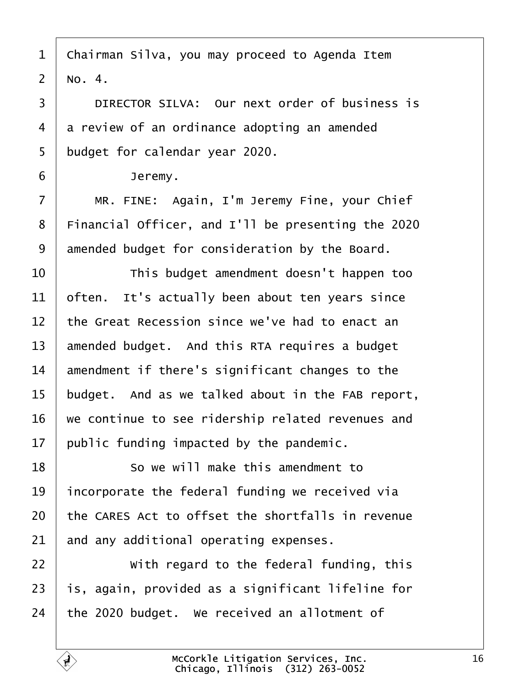<span id="page-15-0"></span>1 Chairman Silva, you may proceed to Agenda Item 2  $No. 4.$ 

3 **DIRECTOR SILVA: Our next order of business is** 4 a review of an ordinance adopting an amended 5 budget for calendar year 2020. 6 | Jeremy. 7 | MR. FINE: Again, I'm Jeremy Fine, your Chief 8 Financial Officer, and I'll be presenting the 2020 9 degmended budget for consideration by the Board. 10 **This budget amendment doesn't happen too** 11 often. It's actually been about ten years since 12 the Great Recession since we've had to enact an 13 amended budget. And this RTA requires a budget 14 amendment if there's significant changes to the 15 budget. And as we talked about in the FAB report, 16 we continue to see ridership related revenues and 17 public funding impacted by the pandemic. 18 **So we will make this amendment to** 19 incorporate the federal funding we received via 20 the CARES Act to offset the shortfalls in revenue 21 and any additional operating expenses.  $22$   $\parallel$  With regard to the federal funding, this 23 is, again, provided as a significant lifeline for 24 the 2020 budget. We received an allotment of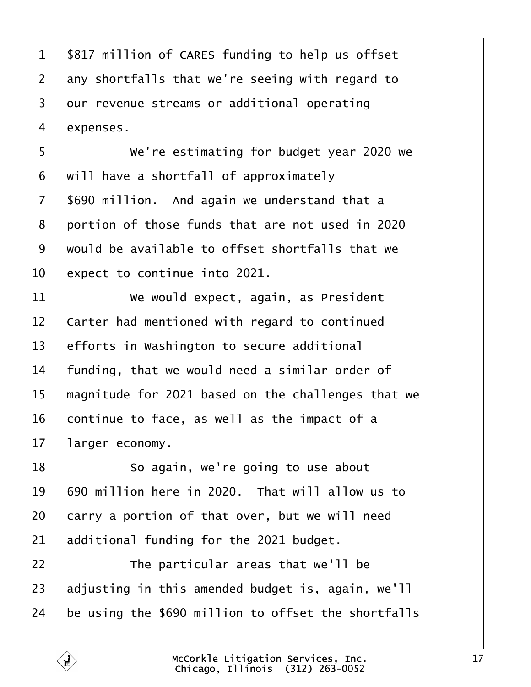<span id="page-16-0"></span>

| $\mathbf 1$    | \$817 million of CARES funding to help us offset |
|----------------|--------------------------------------------------|
| 2 <sup>2</sup> | any shortfalls that we're seeing with regard to  |
| 3              | dur revenue streams or additional operating      |
| 4              | expenses.                                        |
| 5              | We're estimating for budget year 2020 we         |
| 6              | will have a shortfall of approximately           |
| 7 <sup>7</sup> | \$690 million. And again we understand that a    |
| 8              | portion of those funds that are not used in 2020 |
| 9              | would be available to offset shortfalls that we  |
| 10             | expect to continue into 2021                     |

- 11 Ve would expect, again, as President
- 12 Carter had mentioned with regard to continued
- 13 efforts in Washington to secure additional
- 14 funding, that we would need a similar order of
- 15 magnitude for 2021 based on the challenges that we
- 16  $\,$  continue to face, as well as the impact of a
- 17 larger economy.
- 18 **So again, we're going to use about**
- 19 690 million here in 2020. That will allow us to
- $20$   $\,$  carry a portion of that over, but we will need
- 21 additional funding for the 2021 budget.
- $22$   $\parallel$  The particular areas that we'll be
- 23 adjusting in this amended budget is, again, we'll
- 24 be using the \$690 million to offset the shortfalls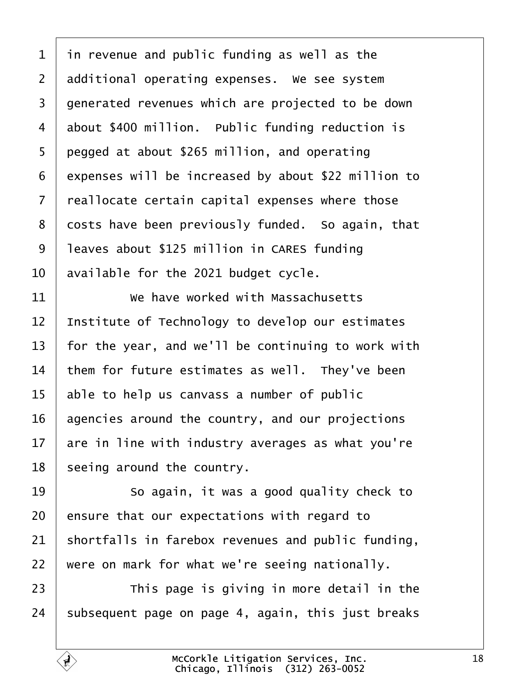<span id="page-17-0"></span>

| 1              | in revenue and public funding as well as the        |
|----------------|-----------------------------------------------------|
|                |                                                     |
| $\overline{2}$ | additional operating expenses. We see system        |
| 3              | generated revenues which are projected to be down   |
| 4              | about \$400 million. Public funding reduction is    |
| 5              | pegged at about \$265 million, and operating        |
| 6              | expenses will be increased by about \$22 million to |
| $\overline{7}$ | reallocate certain capital expenses where those     |
| 8              | dosts have been previously funded. So again, that   |
| 9              | leaves about \$125 million in CARES funding         |
| 10             | available for the 2021 budget cycle.                |
| 11             | We have worked with Massachusetts                   |
| 12             | Institute of Technology to develop our estimates    |
| 13             | for the year, and we'll be continuing to work with  |
| 14             | them for future estimates as well. They've been     |
| 15             | able to help us canvass a number of public          |
| 16             | agencies around the country, and our projections    |
| 17             | are in line with industry averages as what you're   |
| 18             | seeing around the country.                          |
| 19             | So again, it was a good quality check to            |
| 20             | ensure that our expectations with regard to         |
| 21             | shortfalls in farebox revenues and public funding,  |
| 22             | were on mark for what we're seeing nationally.      |
| 23             | This page is giving in more detail in the           |
| 24             | subsequent page on page 4, again, this just breaks  |
|                |                                                     |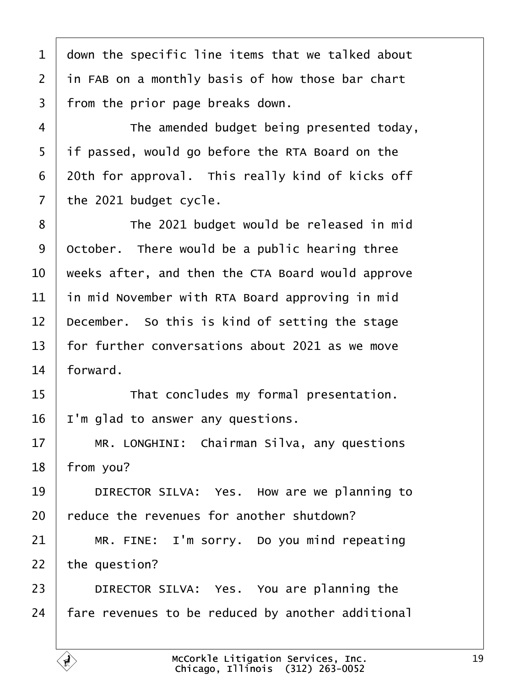<span id="page-18-0"></span>

| 1  | down the specific line items that we talked about |
|----|---------------------------------------------------|
| 2  | in FAB on a monthly basis of how those bar chart  |
| 3  | from the prior page breaks down.                  |
| 4  | The amended budget being presented today,         |
| 5  | if passed, would go before the RTA Board on the   |
| 6  | 20th for approval. This really kind of kicks off  |
| 7  | the 2021 budget cycle.                            |
| 8  | The 2021 budget would be released in mid          |
| 9  | October. There would be a public hearing three    |
| 10 | weeks after, and then the CTA Board would approve |
| 11 | in mid November with RTA Board approving in mid   |
| 12 | December. So this is kind of setting the stage    |
| 13 | for further conversations about 2021 as we move   |
| 14 | forward.                                          |
| 15 | That concludes my formal presentation.            |
| 16 | 'm glad to answer any questions.                  |
| 17 | MR. LONGHINI: Chairman Silva, any questions       |
| 18 | from you?                                         |
| 19 | DIRECTOR SILVA: Yes. How are we planning to       |
| 20 | educe the revenues for another shutdown?          |
| 21 | MR. FINE: I'm sorry. Do you mind repeating        |
| 22 | the question?                                     |
| 23 | DIRECTOR SILVA: Yes. You are planning the         |
| 24 | fare revenues to be reduced by another additional |
|    |                                                   |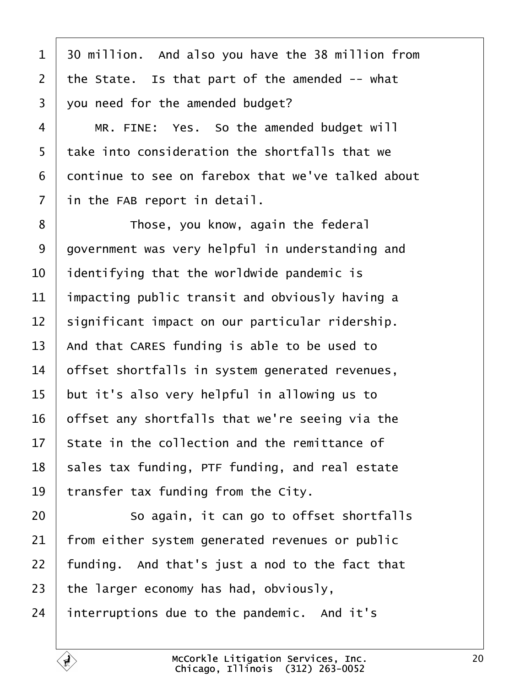<span id="page-19-0"></span>1 30 million. And also you have the 38 million from 2 the State. Is that part of the amended -- what 3 you need for the amended budget?  $4 \mid MR$ . FINE: Yes. So the amended budget will 5 take into consideration the shortfalls that we 6 dontinue to see on farebox that we've talked about 7 in the FAB report in detail. 8 **I** Those, you know, again the federal 9 dovernment was very helpful in understanding and 10 **identifying that the worldwide pandemic is** 11 impacting public transit and obviously having a 12 significant impact on our particular ridership. 13 And that CARES funding is able to be used to 14 **biffset shortfalls in system generated revenues,** 15 but it's also very helpful in allowing us to 16 bifset any shortfalls that we're seeing via the 17 State in the collection and the remittance of 18 sales tax funding, PTF funding, and real estate 19  $\,$  transfer tax funding from the City.  $20$   $\sim$  So again, it can go to offset shortfalls 21 from either system generated revenues or public 22 funding. And that's just a nod to the fact that 23 the larger economy has had, obviously, 24 interruptions due to the pandemic. And it's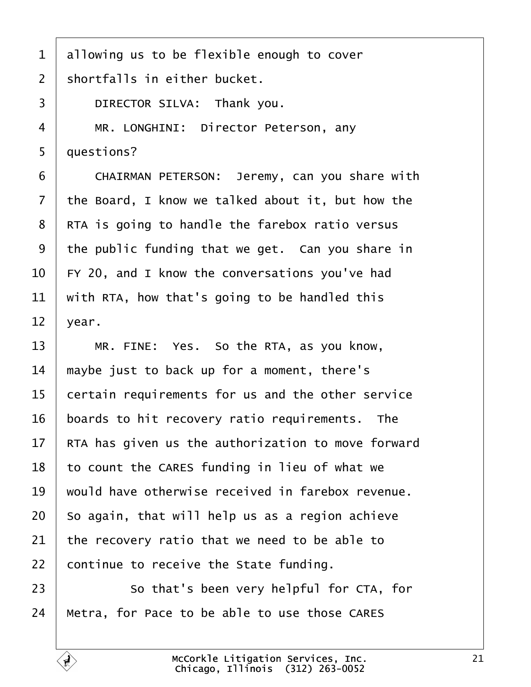- <span id="page-20-0"></span>1 allowing us to be flexible enough to cover
- 2 shortfalls in either bucket.
- 3 | DIRECTOR SILVA: Thank you.
- 4 | MR. LONGHINI: Director Peterson, any
- 5 duestions?
- 6 CHAIRMAN PETERSON: Jeremy, can you share with
- 7 the Board, I know we talked about it, but how the
- 8 RTA is going to handle the farebox ratio versus
- 9 the public funding that we get. Can you share in
- 10 FY 20, and I know the conversations you've had
- 11 with RTA, how that's going to be handled this
- 12  $\sqrt{2}$
- 13  $\parallel$  MR. FINE: Yes. So the RTA, as you know,
- 14 maybe just to back up for a moment, there's
- 15 certain requirements for us and the other service
- 16 boards to hit recovery ratio requirements. The
- 17 RTA has given us the authorization to move forward
- 18 to count the CARES funding in lieu of what we
- 19 would have otherwise received in farebox revenue.
- 20 So again, that will help us as a region achieve
- 21 the recovery ratio that we need to be able to
- 22 continue to receive the State funding.
- 23 **So that's been very helpful for CTA, for**
- 24 Metra, for Pace to be able to use those CARES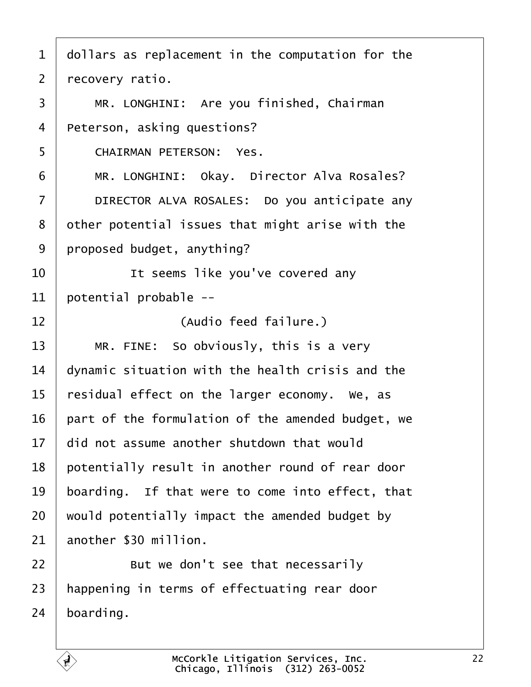- <span id="page-21-0"></span>1 dollars as replacement in the computation for the
- 2 recovery ratio.
- 3 | MR. LONGHINI: Are you finished, Chairman
- 4 Peterson, asking questions?
- 5 CHAIRMAN PETERSON: Yes.
- 6 | MR. LONGHINI: Okay. Director Alva Rosales?
- 7 | DIRECTOR ALVA ROSALES: Do you anticipate any
- 8 dther potential issues that might arise with the
- 9 proposed budget, anything?
- 10 **I** lt seems like you've covered any
- 11 botential probable --
- 12 | **Audio feed failure.**)
- 13  $\parallel$  MR. FINE: So obviously, this is a very
- 14 dynamic situation with the health crisis and the
- 15 residual effect on the larger economy. We, as
- 16 part of the formulation of the amended budget, we
- 17 did not assume another shutdown that would
- 18 potentially result in another round of rear door
- 19 boarding. If that were to come into effect, that
- 20 would potentially impact the amended budget by
- 21 another \$30 million.
- $22$   $\parallel$  But we don't see that necessarily
- 23 happening in terms of effectuating rear door
- 24 boarding.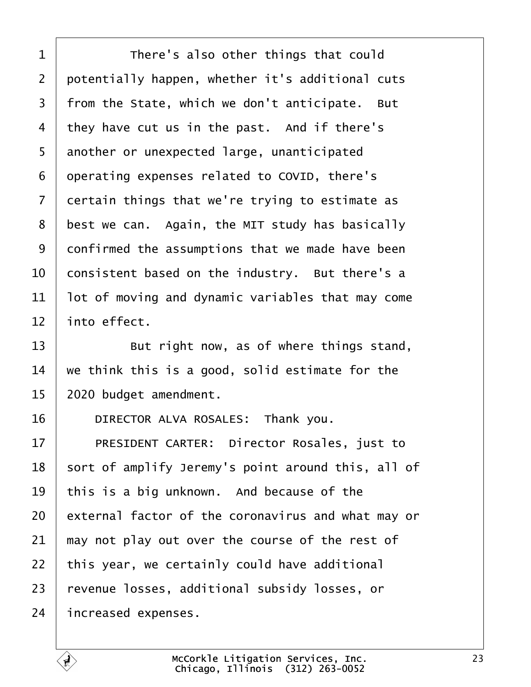<span id="page-22-0"></span>

| 1              | There's also other things that could               |
|----------------|----------------------------------------------------|
| $\overline{2}$ | potentially happen, whether it's additional cuts   |
| 3              | from the State, which we don't anticipate. But     |
| 4              | they have cut us in the past. And if there's       |
| 5              | another or unexpected large, unanticipated         |
| 6              | operating expenses related to COVID, there's       |
| 7              | dertain things that we're trying to estimate as    |
| 8              | best we can. Again, the MIT study has basically    |
| 9              | donfirmed the assumptions that we made have been   |
| 10             | consistent based on the industry. But there's a    |
| 11             | lot of moving and dynamic variables that may come  |
| 12             | into effect.                                       |
| 13             | But right now, as of where things stand,           |
| 14             | we think this is a good, solid estimate for the    |
| 15             | 2020 budget amendment.                             |
| 16             | DIRECTOR ALVA ROSALES: Thank you.                  |
| 17             | PRESIDENT CARTER: Director Rosales, just to        |
| 18             | sort of amplify Jeremy's point around this, all of |
| 19             | this is a big unknown. And because of the          |
| 20             | external factor of the coronavirus and what may or |
| 21             | may not play out over the course of the rest of    |
| 22             | this year, we certainly could have additional      |
| 23             | revenue losses, additional subsidy losses, or      |
| 24             | increased expenses.                                |
|                |                                                    |

 $\overline{1}$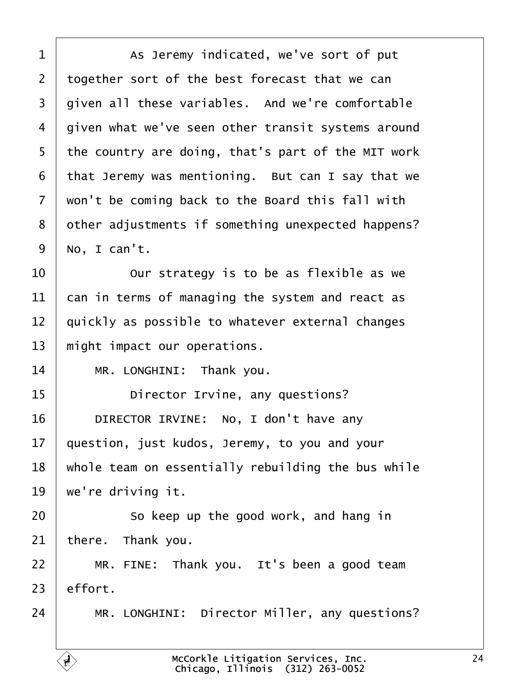<span id="page-23-0"></span>

| 1               | As Jeremy indicated, we've sort of put             |
|-----------------|----------------------------------------------------|
| $\overline{2}$  | together sort of the best forecast that we can     |
| 3               | given all these variables. And we're comfortable   |
| 4               | given what we've seen other transit systems around |
| 5               | the country are doing, that's part of the MIT work |
| 6               | that Jeremy was mentioning. But can I say that we  |
| 7               | won't be coming back to the Board this fall with   |
| 8               | other adjustments if something unexpected happens? |
| 9               | No, I can't.                                       |
| 10              | Our strategy is to be as flexible as we            |
| 11              | can in terms of managing the system and react as   |
| 12              | quickly as possible to whatever external changes   |
| 13              | might impact our operations.                       |
| 14              | MR. LONGHINI: Thank you.                           |
| 15              | Director Irvine, any questions?                    |
| 16              | DIRECTOR IRVINE: No, I don't have any              |
| 17 <sub>1</sub> | question, just kudos, Jeremy, to you and your      |
| 18              | whole team on essentially rebuilding the bus while |
| 19              | we're driving it.                                  |
| 20              | So keep up the good work, and hang in              |
| 21              | there. Thank you.                                  |
| 22              | MR. FINE: Thank you. It's been a good team         |
| 23              | effort.                                            |
| 24              | MR. LONGHINI: Director Miller, any questions?      |
|                 |                                                    |

Г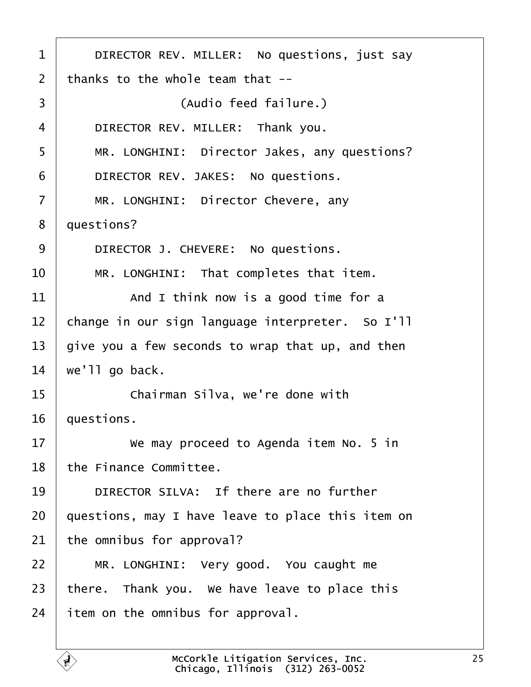<span id="page-24-0"></span>

| 1  | DIRECTOR REV. MILLER: No questions, just say      |
|----|---------------------------------------------------|
| 2  | thanks to the whole team that --                  |
| 3  | (Audio feed failure.)                             |
| 4  | DIRECTOR REV. MILLER: Thank you.                  |
| 5  | MR. LONGHINI: Director Jakes, any questions?      |
| 6  | DIRECTOR REV. JAKES: No questions.                |
| 7  | MR. LONGHINI: Director Chevere, any               |
| 8  | questions?                                        |
| 9  | DIRECTOR J. CHEVERE: No questions.                |
| 10 | MR. LONGHINI: That completes that item.           |
| 11 | And I think now is a good time for a              |
| 12 | change in our sign language interpreter. So I'll  |
| 13 | give you a few seconds to wrap that up, and then  |
| 14 | we'll go back.                                    |
| 15 | Chairman Silva, we're done with                   |
| 16 | questions.                                        |
| 17 | We may proceed to Agenda item No. 5 in            |
| 18 | the Finance Committee.                            |
| 19 | DIRECTOR SILVA: If there are no further           |
| 20 | questions, may I have leave to place this item on |
| 21 | the omnibus for approval?                         |
| 22 | MR. LONGHINI: Very good. You caught me            |
| 23 | there. Thank you. We have leave to place this     |
| 24 | item on the omnibus for approval.                 |
|    |                                                   |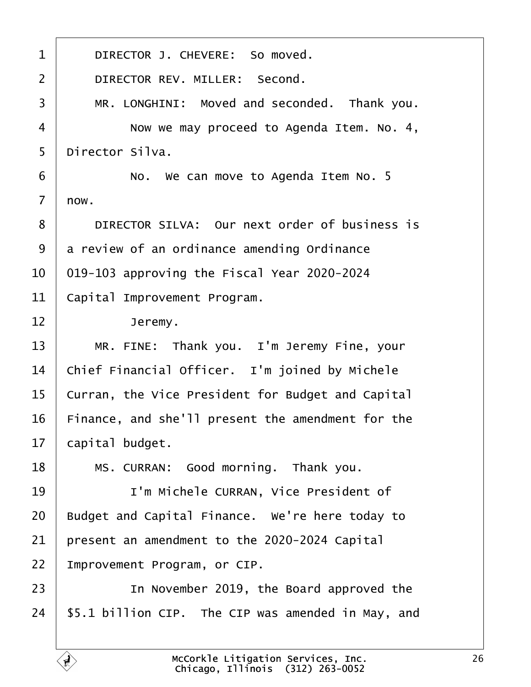<span id="page-25-0"></span>

| 1              | DIRECTOR J. CHEVERE: So moved.                     |
|----------------|----------------------------------------------------|
| $\overline{2}$ | DIRECTOR REV. MILLER: Second.                      |
| 3              | MR. LONGHINI: Moved and seconded. Thank you.       |
| 4              | Now we may proceed to Agenda Item. No. 4,          |
| 5              | Director Silva.                                    |
| 6              | No. We can move to Agenda Item No. 5               |
| $\overline{7}$ | now.                                               |
| 8              | DIRECTOR SILVA: Our next order of business is      |
| 9              | a review of an ordinance amending Ordinance        |
| 10             | 019-103 approving the Fiscal Year 2020-2024        |
| 11             | Capital Improvement Program.                       |
| 12             | Jeremy.                                            |
| 13             | MR. FINE: Thank you. I'm Jeremy Fine, your         |
| 14             | Chief Financial Officer. I'm joined by Michele     |
| 15             | Curran, the Vice President for Budget and Capital  |
| 16             | Finance, and she'll present the amendment for the  |
| 17             | capital budget.                                    |
| 18             | MS. CURRAN: Good morning. Thank you.               |
| 19             | I'm Michele CURRAN, Vice President of              |
| 20             | Budget and Capital Finance. We're here today to    |
| 21             | present an amendment to the 2020-2024 Capital      |
| 22             | Improvement Program, or CIP.                       |
| 23             | In November 2019, the Board approved the           |
| 24             | \$5.1 billion CIP. The CIP was amended in May, and |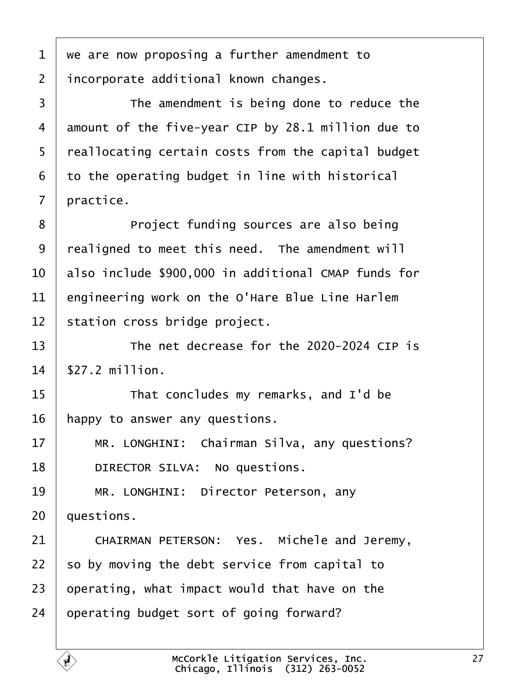<span id="page-26-0"></span>1 we are now proposing a further amendment to 2 *incorporate additional known changes.* 3 **I** The amendment is being done to reduce the 4 amount of the five-year CIP by 28.1 million due to 5 reallocating certain costs from the capital budget 6 to the operating budget in line with historical 7 practice. 8 **Project funding sources are also being** 9 realigned to meet this need. The amendment will 10 also include \$900,000 in additional CMAP funds for 11 engineering work on the O'Hare Blue Line Harlem 12 station cross bridge project. 13  $\parallel$  The net decrease for the 2020-2024 CIP is 14 \$27.2 million. 15 **That concludes my remarks, and I'd be** 16 happy to answer any questions. 17 | MR. LONGHINI: Chairman Silva, any questions? 18 | DIRECTOR SILVA: No questions. 19 | MR. LONGHINI: Director Peterson, any 20 duestions. 21 | CHAIRMAN PETERSON: Yes. Michele and Jeremy, 22 so by moving the debt service from capital to 23 b perating, what impact would that have on the 24 bearating budget sort of going forward?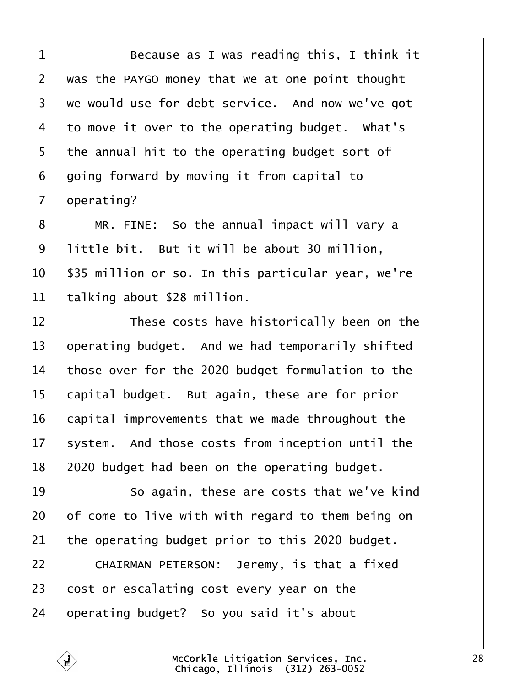<span id="page-27-0"></span>

| 1              | Because as I was reading this, I think it          |
|----------------|----------------------------------------------------|
| $\overline{2}$ | was the PAYGO money that we at one point thought   |
| 3              | we would use for debt service. And now we've got   |
| 4              | to move it over to the operating budget. What's    |
| 5              | the annual hit to the operating budget sort of     |
| 6              | going forward by moving it from capital to         |
| 7              | operating?                                         |
| 8              | MR. FINE: So the annual impact will vary a         |
| 9              | little bit. But it will be about 30 million,       |
| 10             | \$35 million or so. In this particular year, we're |
| 11             | talking about \$28 million.                        |
| 12             | These costs have historically been on the          |
| 13             | operating budget. And we had temporarily shifted   |
| 14             | those over for the 2020 budget formulation to the  |
| 15             | capital budget. But again, these are for prior     |
| 16             | capital improvements that we made throughout the   |
| 17             | system. And those costs from inception until the   |
| 18             | 2020 budget had been on the operating budget.      |
| 19             | So again, these are costs that we've kind          |
| 20             | of come to live with with regard to them being on  |
| 21             | the operating budget prior to this 2020 budget.    |
| 22             | CHAIRMAN PETERSON: Jeremy, is that a fixed         |
| 23             | cost or escalating cost every year on the          |
| 24             | operating budget? So you said it's about           |
|                |                                                    |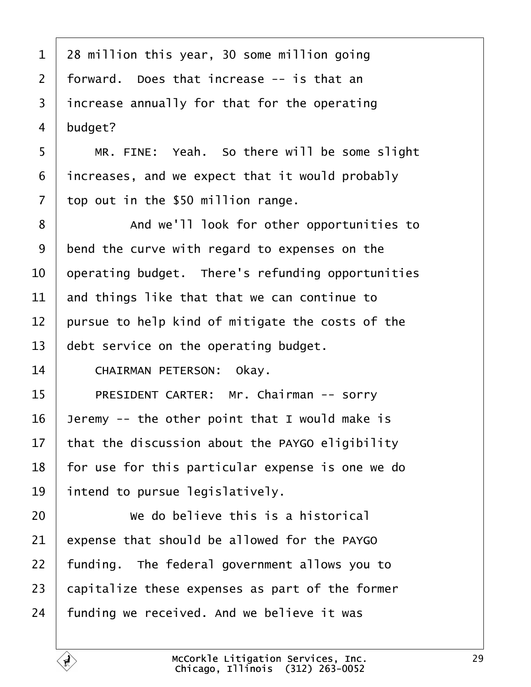<span id="page-28-0"></span>

| $\mathbf 1$    | 28 million this year, 30 some million going       |
|----------------|---------------------------------------------------|
| $\overline{2}$ | forward. Does that increase -- is that an         |
| 3              | increase annually for that for the operating      |
| 4              | budget?                                           |
| 5              | MR. FINE: Yeah. So there will be some slight      |
| 6              | increases, and we expect that it would probably   |
| 7              | top out in the \$50 million range.                |
| 8              | And we'll look for other opportunities to         |
| 9              | bend the curve with regard to expenses on the     |
| 10             | operating budget. There's refunding opportunities |
| 11             | and things like that that we can continue to      |
| 12             | pursue to help kind of mitigate the costs of the  |
| 13             | debt service on the operating budget.             |
| 14             | CHAIRMAN PETERSON: Okay.                          |
| 15             | PRESIDENT CARTER: Mr. Chairman -- sorry           |
| 16             | Jeremy -- the other point that I would make is    |
| 17             | that the discussion about the PAYGO eligibility   |
| 18             | for use for this particular expense is one we do  |
| 19             | intend to pursue legislatively.                   |
| 20             | We do believe this is a historical                |
| 21             | expense that should be allowed for the PAYGO      |
| 22             | funding. The federal government allows you to     |
| 23             | capitalize these expenses as part of the former   |
| 24             | funding we received. And we believe it was        |
|                |                                                   |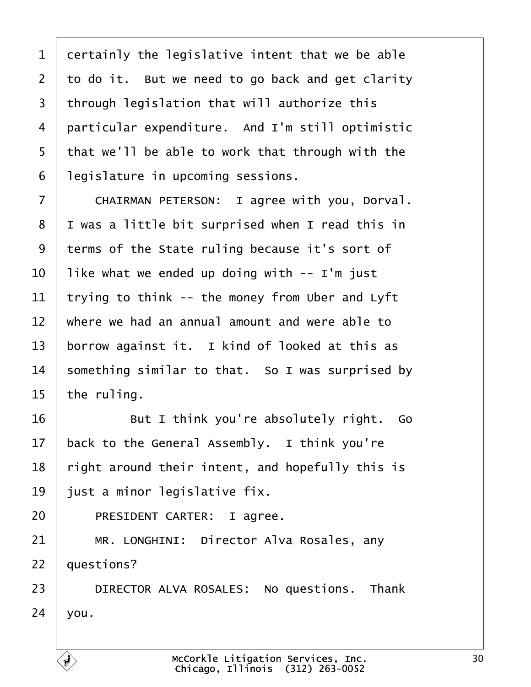<span id="page-29-0"></span>

|  | 1 dertainly the legislative intent that we be able |  |  |  |  |  |  |  |
|--|----------------------------------------------------|--|--|--|--|--|--|--|
|--|----------------------------------------------------|--|--|--|--|--|--|--|

2 to do it. But we need to go back and get clarity

- 3 through legislation that will authorize this
- 4 particular expenditure. And I'm still optimistic
- 5 that we'll be able to work that through with the
- 6 legislature in upcoming sessions.
- 7 | CHAIRMAN PETERSON: I agree with you, Dorval.
- 8 I was a little bit surprised when I read this in
- 9 terms of the State ruling because it's sort of
- 10 like what we ended up doing with -- I'm just
- 11 trying to think -- the money from Uber and Lyft
- 12 where we had an annual amount and were able to
- 13 borrow against it. I kind of looked at this as
- 14 something similar to that. So I was surprised by
- 15 the ruling.
- $16$   $\parallel$  But I think you're absolutely right. Go
- 17 back to the General Assembly. I think you're
- 18 right around their intent, and hopefully this is
- 19 just a minor legislative fix.
- 20 | PRESIDENT CARTER: I agree.
- 21 | MR. LONGHINI: Director Alva Rosales, any
- 22 questions?
- 23 | DIRECTOR ALVA ROSALES: No questions. Thank
- $24$  vou.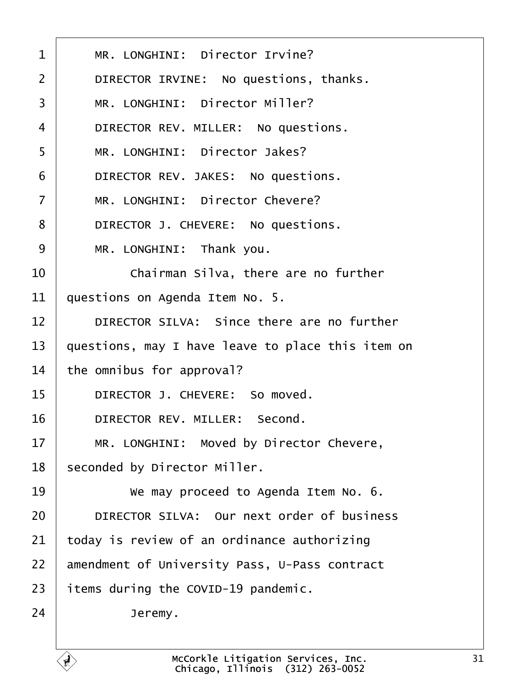<span id="page-30-0"></span>

| 1  | MR. LONGHINI: Director Irvine?                    |
|----|---------------------------------------------------|
| 2  | DIRECTOR IRVINE: No questions, thanks.            |
| 3  | MR. LONGHINI: Director Miller?                    |
| 4  | DIRECTOR REV. MILLER: No questions.               |
| 5  | MR. LONGHINI: Director Jakes?                     |
| 6  | DIRECTOR REV. JAKES: No questions.                |
| 7  | MR. LONGHINI: Director Chevere?                   |
| 8  | DIRECTOR J. CHEVERE: No questions.                |
| 9  | MR. LONGHINI: Thank you.                          |
| 10 | Chairman Silva, there are no further              |
| 11 | questions on Agenda Item No. 5.                   |
| 12 | DIRECTOR SILVA: Since there are no further        |
| 13 | questions, may I have leave to place this item on |
| 14 | the omnibus for approval?                         |
| 15 | DIRECTOR J. CHEVERE: So moved.                    |
| 16 | DIRECTOR REV. MILLER: Second.                     |
| 17 | MR. LONGHINI: Moved by Director Chevere,          |
| 18 | seconded by Director Miller.                      |
| 19 | We may proceed to Agenda Item No. 6.              |
| 20 | DIRECTOR SILVA: Our next order of business        |
| 21 | oday is review of an ordinance authorizing        |
| 22 | amendment of University Pass, U-Pass contract     |
| 23 | items during the COVID-19 pandemic.               |
| 24 | Jeremy.                                           |
|    |                                                   |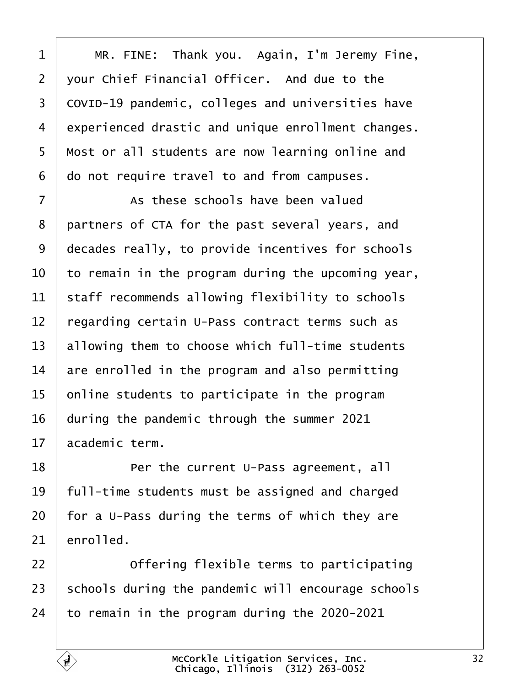<span id="page-31-0"></span>

| 1              | MR. FINE: Thank you. Again, I'm Jeremy Fine,       |
|----------------|----------------------------------------------------|
| $\overline{2}$ | your Chief Financial Officer. And due to the       |
| 3              | COVID-19 pandemic, colleges and universities have  |
| 4              | experienced drastic and unique enrollment changes. |
| 5              | Most or all students are now learning online and   |
| 6              | do not require travel to and from campuses.        |
| $\overline{7}$ | As these schools have been valued                  |
| 8              | partners of CTA for the past several years, and    |
| 9              | decades really, to provide incentives for schools  |
| 10             | to remain in the program during the upcoming year, |
| 11             | staff recommends allowing flexibility to schools   |
| 12             | regarding certain U-Pass contract terms such as    |
| 13             | allowing them to choose which full-time students   |
| 14             | are enrolled in the program and also permitting    |
| 15             | online students to participate in the program      |
| 16             | during the pandemic through the summer 2021        |
| 17             | academic term.                                     |
| 18             | Per the current U-Pass agreement, all              |
| 19             | full-time students must be assigned and charged    |
| 20             | for a U-Pass during the terms of which they are    |
| 21             | enrolled.                                          |
| 22             | Offering flexible terms to participating           |
| 23             | schools during the pandemic will encourage schools |
| 24             | to remain in the program during the 2020-2021      |
|                |                                                    |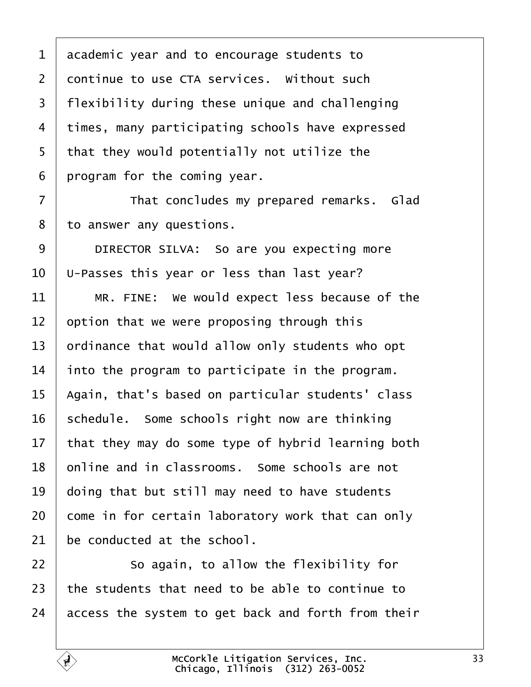<span id="page-32-0"></span>

| 1      | academic year and to encourage students to         |
|--------|----------------------------------------------------|
| 2      | dontinue to use CTA services. Without such         |
| 3      | flexibility during these unique and challenging    |
| 4      | times, many participating schools have expressed   |
| 5      | that they would potentially not utilize the        |
| 6      | program for the coming year.                       |
| 7      | That concludes my prepared remarks. Glad           |
| 8      | to answer any questions.                           |
| 9      | DIRECTOR SILVA: So are you expecting more          |
| 10     | U-Passes this year or less than last year?         |
| 11     | MR. FINE: We would expect less because of the      |
| 12     | option that we were proposing through this         |
| 13     | prdinance that would allow only students who opt   |
| 14     | into the program to participate in the program.    |
| 15     | Again, that's based on particular students' class  |
| 16     | schedule. Some schools right now are thinking      |
| $17\,$ | that they may do some type of hybrid learning both |
| 18     | online and in classrooms. Some schools are not     |
| 19     | doing that but still may need to have students     |
| 20     | come in for certain laboratory work that can only  |
| 21     | be conducted at the school.                        |
| 22     | So again, to allow the flexibility for             |
| 23     | the students that need to be able to continue to   |
| 24     | access the system to get back and forth from their |
|        |                                                    |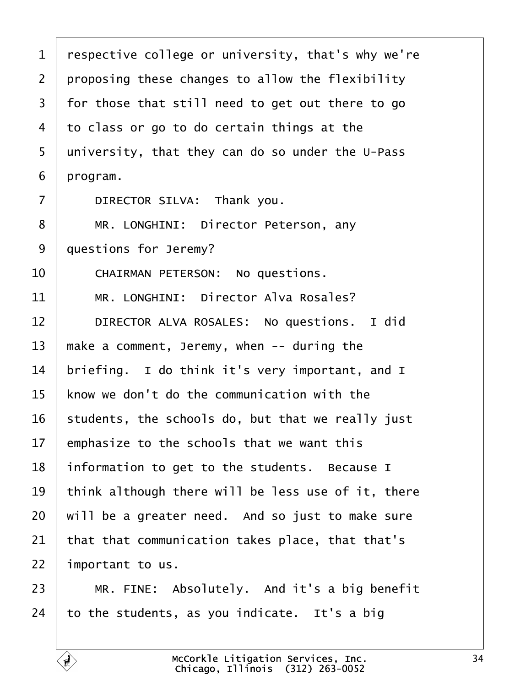- <span id="page-33-0"></span>1 respective college or university, that's why we're
- 2 proposing these changes to allow the flexibility
- 3 for those that still need to get out there to go
- 4 to class or go to do certain things at the
- 5 university, that they can do so under the U-Pass
- 6 program.
- $7$  | DIRECTOR SILVA: Thank you.
- 8 | MR. LONGHINI: Director Peterson, any
- 9 duestions for Jeremy?
- 10 | CHAIRMAN PETERSON: No questions.
- 11 | MR. LONGHINI: Director Alva Rosales?
- 12 | DIRECTOR ALVA ROSALES: No questions. I did
- 13 make a comment, Jeremy, when  $-$  during the
- 14 briefing. I do think it's very important, and I
- 15 know we don't do the communication with the
- 16 students, the schools do, but that we really just
- 17 emphasize to the schools that we want this
- 18 information to get to the students. Because I
- 19 think although there will be less use of it, there
- 20 will be a greater need. And so just to make sure
- 21 that that communication takes place, that that's
- 22 important to us.
- $23$  | MR. FINE: Absolutely. And it's a big benefit
- 24  $\cdot$  to the students, as you indicate. It's a big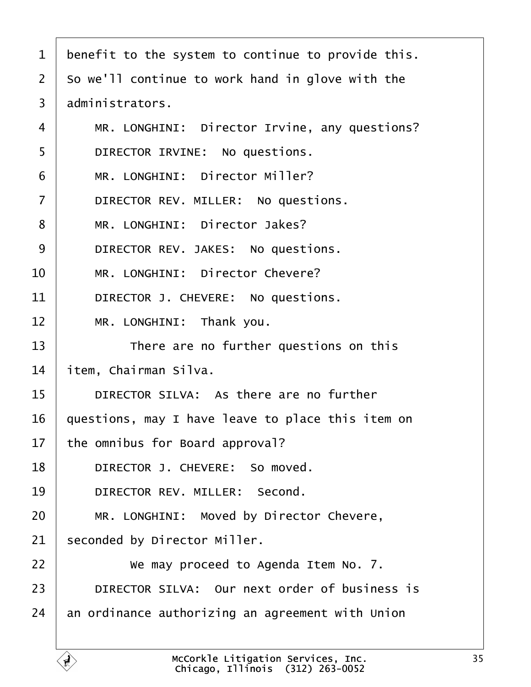- <span id="page-34-0"></span>1 benefit to the system to continue to provide this.
- 2 So we'll continue to work hand in glove with the
- 3 administrators.
- 4 | MR. LONGHINI: Director Irvine, any questions?
- 5 | DIRECTOR IRVINE: No questions.
- 6 | MR. LONGHINI: Director Miller?
- 7 | DIRECTOR REV. MILLER: No questions.
- 8 | MR. LONGHINI: Director Jakes?
- 9 | DIRECTOR REV. JAKES: No questions.
- 10 | MR. LONGHINI: Director Chevere?
- 11 | DIRECTOR J. CHEVERE: No questions.
- 12 | MR. LONGHINI: Thank you.
- 13 **There are no further questions on this**
- 14 *i*tem, Chairman Silva.
- 15 | DIRECTOR SILVA: As there are no further
- 16 guestions, may I have leave to place this item on
- 17 the omnibus for Board approval?
- 18 | DIRECTOR J. CHEVERE: So moved.
- 19 | DIRECTOR REV. MILLER: Second.
- 20 | MR. LONGHINI: Moved by Director Chevere,
- 21 seconded by Director Miller.
- $22 \mid$  We may proceed to Agenda Item No. 7.
- 23 | DIRECTOR SILVA: Our next order of business is
- 24 an ordinance authorizing an agreement with Union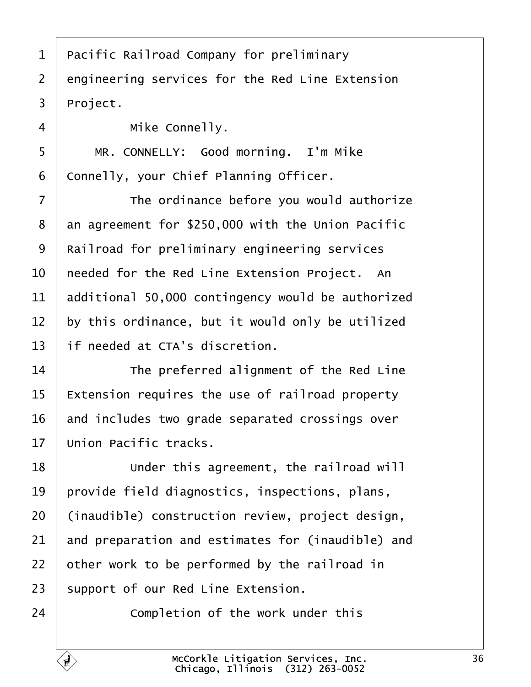<span id="page-35-0"></span>

| 1              | Pacific Railroad Company for preliminary          |
|----------------|---------------------------------------------------|
| $\overline{2}$ | engineering services for the Red Line Extension   |
| 3              | Project.                                          |
| 4              | Mike Connelly.                                    |
| 5              | MR. CONNELLY: Good morning. I'm Mike              |
| 6              | Connelly, your Chief Planning Officer.            |
| 7              | The ordinance before you would authorize          |
| 8              | an agreement for \$250,000 with the Union Pacific |
| 9              | Railroad for preliminary engineering services     |
| 10             | heeded for the Red Line Extension Project. An     |
| 11             | additional 50,000 contingency would be authorized |
| 12             | by this ordinance, but it would only be utilized  |
| 13             | If needed at CTA's discretion.                    |
| 14             | The preferred alignment of the Red Line           |
| 15             | Extension requires the use of railroad property   |
| 16             | and includes two grade separated crossings over   |
| 17             | Union Pacific tracks.                             |
| 18             | Under this agreement, the railroad will           |
| 19             | provide field diagnostics, inspections, plans,    |
| 20             | (inaudible) construction review, project design,  |
| 21             | and preparation and estimates for (inaudible) and |
| 22             | other work to be performed by the railroad in     |
| 23             | support of our Red Line Extension.                |
| 24             | Completion of the work under this                 |
|                |                                                   |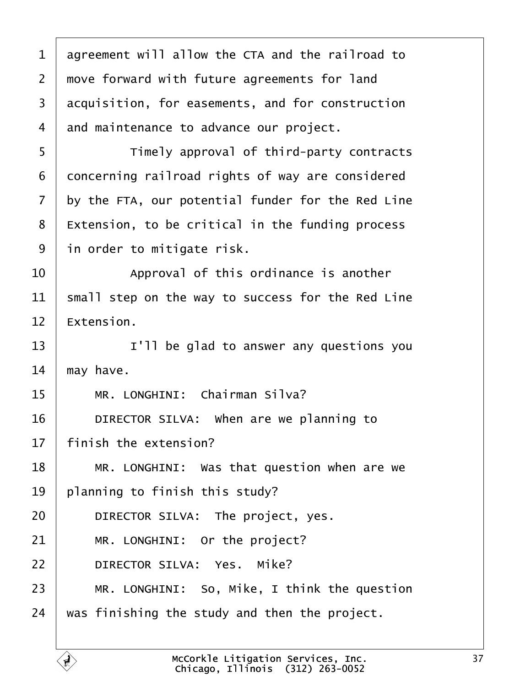<span id="page-36-0"></span>

| 1              | agreement will allow the CTA and the railroad to  |
|----------------|---------------------------------------------------|
| $\overline{2}$ | move forward with future agreements for land      |
| 3              | acquisition, for easements, and for construction  |
| 4              | and maintenance to advance our project.           |
| 5              | Timely approval of third-party contracts          |
| 6              | doncerning railroad rights of way are considered  |
| 7              | by the FTA, our potential funder for the Red Line |
| 8              | Extension, to be critical in the funding process  |
| 9              | in order to mitigate risk.                        |
| 10             | Approval of this ordinance is another             |
| 11             | small step on the way to success for the Red Line |
| 12             | Extension.                                        |
| 13             | I'll be glad to answer any questions you          |
| 14             | may have.                                         |
| 15             | MR. LONGHINI: Chairman Silva?                     |
| 16             | DIRECTOR SILVA: When are we planning to           |
| 17             | finish the extension?                             |
| 18             | MR. LONGHINI: Was that question when are we       |
| 19             | planning to finish this study?                    |
| 20             | DIRECTOR SILVA: The project, yes.                 |
| 21             | MR. LONGHINI: Or the project?                     |
| 22             | DIRECTOR SILVA: Yes. Mike?                        |
| 23             | MR. LONGHINI: So, Mike, I think the question      |
| 24             | was finishing the study and then the project.     |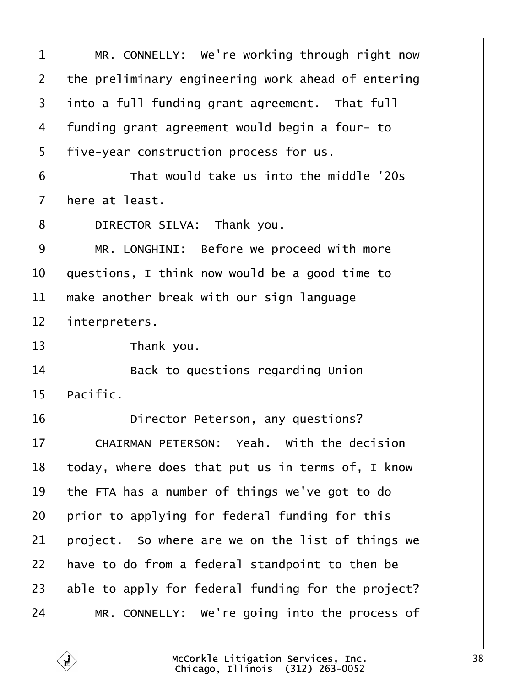<span id="page-37-0"></span>

| 1              | MR. CONNELLY: We're working through right now      |
|----------------|----------------------------------------------------|
| $\overline{2}$ | the preliminary engineering work ahead of entering |
| 3              | into a full funding grant agreement. That full     |
| 4              | funding grant agreement would begin a four-to      |
| 5              | five-year construction process for us.             |
| 6              | That would take us into the middle '20s            |
| $\overline{7}$ | here at least.                                     |
| 8              | DIRECTOR SILVA: Thank you.                         |
| 9              | MR. LONGHINI: Before we proceed with more          |
| 10             | questions, I think now would be a good time to     |
| 11             | make another break with our sign language          |
| 12             | interpreters.                                      |
| 13             | Thank you.                                         |
| 14             | Back to questions regarding Union                  |
| 15             | Pacific.                                           |
| 16             | Director Peterson, any questions?                  |
| 17             | <b>CHAIRMAN PETERSON: Yeah. With the decision</b>  |
| 18             | today, where does that put us in terms of, I know  |
| 19             | the FTA has a number of things we've got to do     |
| 20             | prior to applying for federal funding for this     |
| 21             | project. So where are we on the list of things we  |
| 22             | have to do from a federal standpoint to then be    |
| 23             | able to apply for federal funding for the project? |
| 24             | MR. CONNELLY: We're going into the process of      |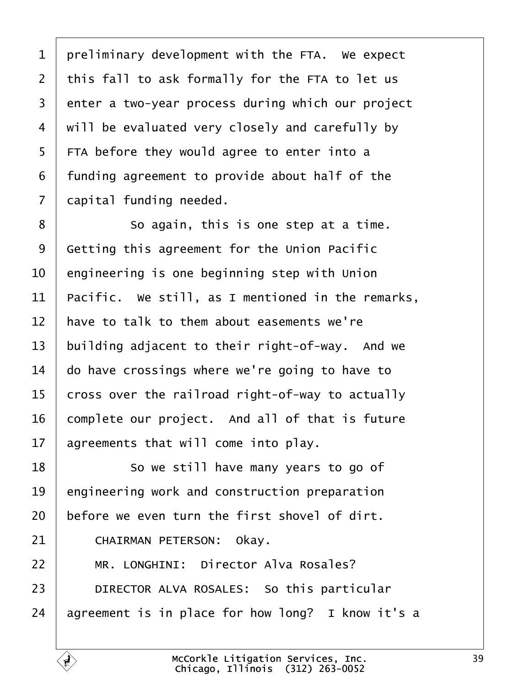<span id="page-38-0"></span>1 preliminary development with the FTA. We expect 2 this fall to ask formally for the FTA to let us 3 enter a two-year process during which our project 4 will be evaluated very closely and carefully by 5 FTA before they would agree to enter into a 6 funding agreement to provide about half of the 7 dapital funding needed. 8 **8 So again, this is one step at a time.** 9 Getting this agreement for the Union Pacific 10 engineering is one beginning step with Union 11 Pacific. We still, as I mentioned in the remarks, 12 have to talk to them about easements we're 13 building adjacent to their right-of-way. And we 14 do have crossings where we're going to have to 15 cross over the railroad right-of-way to actually 16 complete our project. And all of that is future 17 agreements that will come into play. 18 **So we still have many years to go of** 19 engineering work and construction preparation 20 before we even turn the first shovel of dirt. 21 | CHAIRMAN PETERSON: Okay. 22 | MR. LONGHINI: Director Alva Rosales? 23 | DIRECTOR ALVA ROSALES: So this particular 24 agreement is in place for how long? I know it's a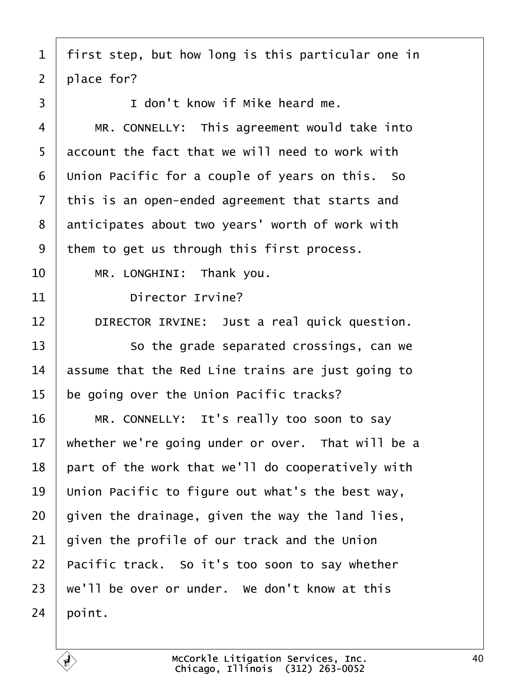- <span id="page-39-0"></span>1 first step, but how long is this particular one in
- 2 place for?
- $3 \mid$   $\mid$  don't know if Mike heard me.
- 4 | MR. CONNELLY: This agreement would take into
- 5 account the fact that we will need to work with
- 6 Union Pacific for a couple of years on this. So
- 7 this is an open-ended agreement that starts and
- 8 anticipates about two years' worth of work with
- 9 them to get us through this first process.
- 10 | MR. LONGHINI: Thank you.
- 11 **Director Irvine?**
- 12 | DIRECTOR IRVINE: Just a real quick question.
- 13 **So the grade separated crossings, can we**
- 14 **basame that the Red Line trains are just going to**
- 15 be going over the Union Pacific tracks?
- 16 | MR. CONNELLY: It's really too soon to say
- 17 whether we're going under or over. That will be a
- 18 part of the work that we'll do cooperatively with
- 19 Union Pacific to figure out what's the best way,
- 20 given the drainage, given the way the land lies,
- 21 given the profile of our track and the Union
- 22 Pacific track. So it's too soon to say whether
- 23 we'll be over or under. We don't know at this
- $24$  boint.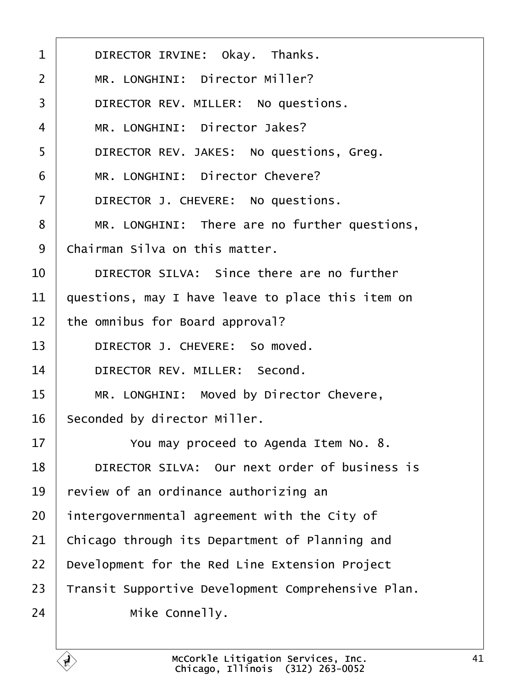<span id="page-40-0"></span>

| 1              | DIRECTOR IRVINE: Okay. Thanks.                     |
|----------------|----------------------------------------------------|
| 2              | MR. LONGHINI: Director Miller?                     |
| 3              | DIRECTOR REV. MILLER: No questions.                |
| 4              | MR. LONGHINI: Director Jakes?                      |
| 5              | DIRECTOR REV. JAKES: No questions, Greg.           |
| 6              | MR. LONGHINI: Director Chevere?                    |
| $\overline{7}$ | DIRECTOR J. CHEVERE: No questions.                 |
| 8              | MR. LONGHINI: There are no further questions,      |
| 9              | Chairman Silva on this matter.                     |
| 10             | DIRECTOR SILVA: Since there are no further         |
| 11             | questions, may I have leave to place this item on  |
| 12             | the omnibus for Board approval?                    |
| 13             | DIRECTOR J. CHEVERE: So moved.                     |
| 14             | DIRECTOR REV. MILLER: Second.                      |
| 15             | MR. LONGHINI: Moved by Director Chevere,           |
| 16             | Seconded by director Miller.                       |
| 17             | You may proceed to Agenda Item No. 8.              |
| 18             | DIRECTOR SILVA: Our next order of business is      |
| 19             | review of an ordinance authorizing an              |
| 20             | intergovernmental agreement with the City of       |
| 21             | Chicago through its Department of Planning and     |
| 22             | Development for the Red Line Extension Project     |
| 23             | Transit Supportive Development Comprehensive Plan. |
| 24             | Mike Connelly.                                     |
|                |                                                    |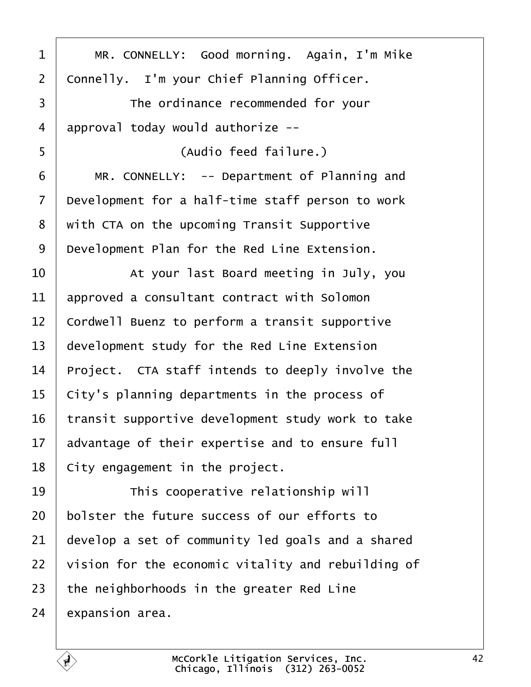<span id="page-41-0"></span>

| 1              | MR. CONNELLY: Good morning. Again, I'm Mike        |
|----------------|----------------------------------------------------|
| $\overline{2}$ | Connelly. I'm your Chief Planning Officer.         |
| 3              | The ordinance recommended for your                 |
| 4              | approval today would authorize --                  |
| 5              | (Audio feed failure.)                              |
| 6              | MR. CONNELLY: -- Department of Planning and        |
| 7              | Development for a half-time staff person to work   |
| 8              | with CTA on the upcoming Transit Supportive        |
| 9              | Development Plan for the Red Line Extension.       |
| 10             | At your last Board meeting in July, you            |
| 11             | approved a consultant contract with Solomon        |
| 12             | Cordwell Buenz to perform a transit supportive     |
| 13             | development study for the Red Line Extension       |
| 14             | Project. CTA staff intends to deeply involve the   |
| 15             | City's planning departments in the process of      |
| 16             | transit supportive development study work to take  |
| 17             | advantage of their expertise and to ensure full    |
| 18             | City engagement in the project.                    |
| 19             | This cooperative relationship will                 |
| 20             | bolster the future success of our efforts to       |
| 21             | develop a set of community led goals and a shared  |
| 22             | vision for the economic vitality and rebuilding of |
| 23             | the neighborhoods in the greater Red Line          |
| 24             | expansion area.                                    |
|                |                                                    |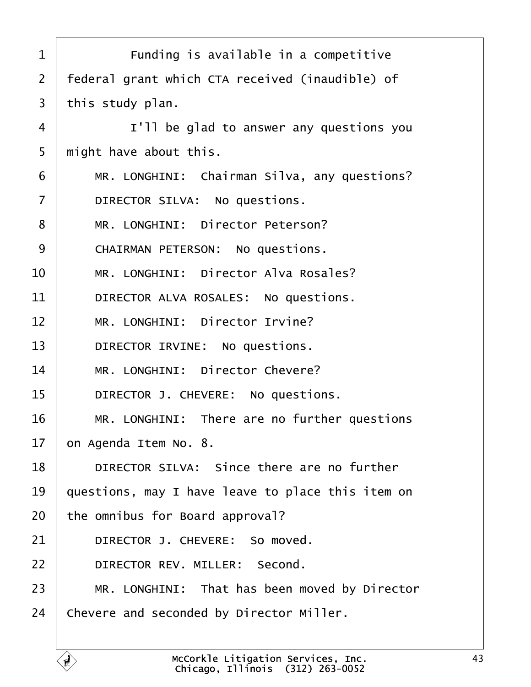<span id="page-42-0"></span>

| 1              | Funding is available in a competitive             |
|----------------|---------------------------------------------------|
| 2              | federal grant which CTA received (inaudible) of   |
| 3              | this study plan.                                  |
| 4              | I'll be glad to answer any questions you          |
| 5              | might have about this.                            |
| 6              | MR. LONGHINI: Chairman Silva, any questions?      |
| $\overline{7}$ | DIRECTOR SILVA: No questions.                     |
| 8              | MR. LONGHINI: Director Peterson?                  |
| 9              | <b>CHAIRMAN PETERSON: No questions.</b>           |
| 10             | MR. LONGHINI: Director Alva Rosales?              |
| 11             | DIRECTOR ALVA ROSALES: No questions.              |
| 12             | MR. LONGHINI: Director Irvine?                    |
| 13             | DIRECTOR IRVINE: No questions.                    |
| 14             | MR. LONGHINI: Director Chevere?                   |
| 15             | DIRECTOR J. CHEVERE: No questions.                |
| 16             | MR. LONGHINI: There are no further questions      |
| 17             | on Agenda Item No. 8.                             |
| 18             | DIRECTOR SILVA: Since there are no further        |
| 19             | questions, may I have leave to place this item on |
| 20             | the omnibus for Board approval?                   |
| 21             | DIRECTOR J. CHEVERE: So moved.                    |
| 22             | DIRECTOR REV. MILLER: Second.                     |
| 23             | MR. LONGHINI: That has been moved by Director     |
| 24             | Chevere and seconded by Director Miller.          |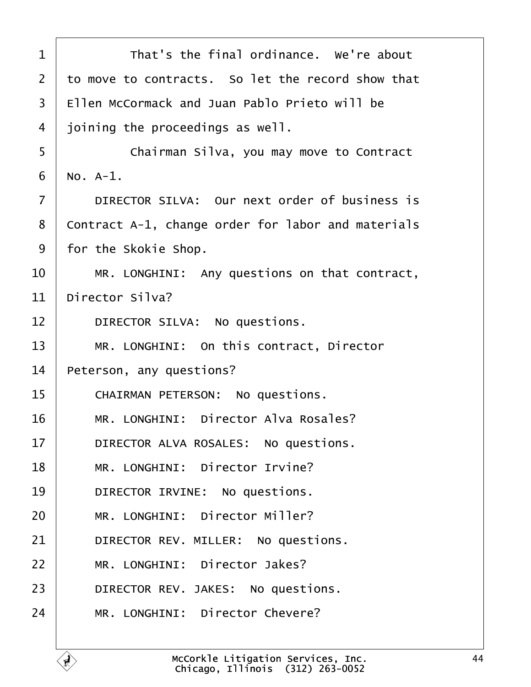<span id="page-43-0"></span>

| 1  | That's the final ordinance. We're about            |
|----|----------------------------------------------------|
| 2  | to move to contracts. So let the record show that  |
| 3  | Ellen McCormack and Juan Pablo Prieto will be      |
| 4  | joining the proceedings as well.                   |
| 5  | Chairman Silva, you may move to Contract           |
| 6  | No. A-1.                                           |
| 7  | DIRECTOR SILVA: Our next order of business is      |
| 8  | Contract A-1, change order for labor and materials |
| 9  | for the Skokie Shop.                               |
| 10 | MR. LONGHINI: Any questions on that contract,      |
| 11 | Director Silva?                                    |
| 12 | DIRECTOR SILVA: No questions.                      |
| 13 | MR. LONGHINI: On this contract, Director           |
| 14 | Peterson, any questions?                           |
| 15 | <b>CHAIRMAN PETERSON: No questions.</b>            |
| 16 | MR. LONGHINI: Director Alva Rosales?               |
| 17 | DIRECTOR ALVA ROSALES: No questions.               |
| 18 | MR. LONGHINI: Director Irvine?                     |
| 19 | DIRECTOR IRVINE: No questions.                     |
| 20 | MR. LONGHINI: Director Miller?                     |
| 21 | DIRECTOR REV. MILLER: No questions.                |
| 22 | MR. LONGHINI: Director Jakes?                      |
| 23 | DIRECTOR REV. JAKES: No questions.                 |
| 24 | MR. LONGHINI: Director Chevere?                    |
|    |                                                    |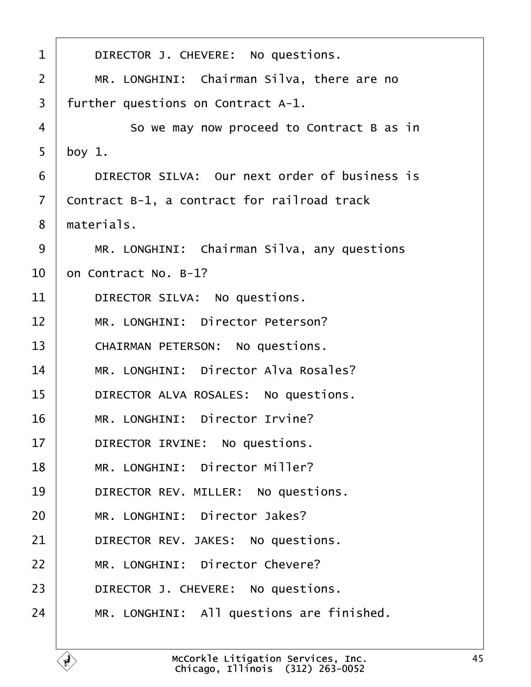<span id="page-44-0"></span>

| 1              | DIRECTOR J. CHEVERE: No questions.            |
|----------------|-----------------------------------------------|
| $\overline{2}$ | MR. LONGHINI: Chairman Silva, there are no    |
| 3              | further questions on Contract A-1.            |
| 4              | So we may now proceed to Contract B as in     |
| 5              | boy $1$ .                                     |
| 6              | DIRECTOR SILVA: Our next order of business is |
| 7              | Contract B-1, a contract for railroad track   |
| 8              | materials.                                    |
| 9              | MR. LONGHINI: Chairman Silva, any questions   |
| 10             | on Contract No. B-1?                          |
| 11             | DIRECTOR SILVA: No questions.                 |
| 12             | MR. LONGHINI: Director Peterson?              |
| 13             | <b>CHAIRMAN PETERSON: No questions.</b>       |
| 14             | MR. LONGHINI: Director Alva Rosales?          |
| 15             | DIRECTOR ALVA ROSALES: No questions.          |
| 16             | MR. LONGHINI: Director Irvine?                |
| 17             | DIRECTOR IRVINE: No questions.                |
| 18             | MR. LONGHINI: Director Miller?                |
| 19             | DIRECTOR REV. MILLER: No questions.           |
| 20             | MR. LONGHINI: Director Jakes?                 |
| 21             | DIRECTOR REV. JAKES: No questions.            |
| 22             | MR. LONGHINI: Director Chevere?               |
| 23             | DIRECTOR J. CHEVERE: No questions.            |
| 24             | MR. LONGHINI: All questions are finished.     |
|                |                                               |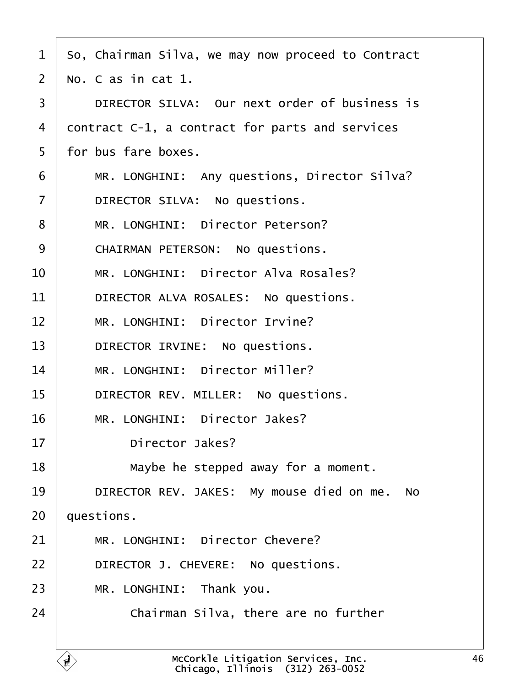- <span id="page-45-0"></span>1 So, Chairman Silva, we may now proceed to Contract
- 2 No. C as in cat 1.
- 3 | DIRECTOR SILVA: Our next order of business is
- 4 dontract C-1, a contract for parts and services
- 5 for bus fare boxes.
- 6 | MR. LONGHINI: Any questions, Director Silva?
- 7 | DIRECTOR SILVA: No questions.
- 8 | MR. LONGHINI: Director Peterson?
- 9 | CHAIRMAN PETERSON: No questions.
- 10 | MR. LONGHINI: Director Alva Rosales?
- 11 | DIRECTOR ALVA ROSALES: No questions.
- 12 | MR. LONGHINI: Director Irvine?
- 13 | DIRECTOR IRVINE: No questions.
- 14 | MR. LONGHINI: Director Miller?
- 15 | DIRECTOR REV. MILLER: No questions.
- 16 | MR. LONGHINI: Director Jakes?
- 17 | Director Jakes?
- 18  $\parallel$  Maybe he stepped away for a moment.
- 19 | DIRECTOR REV. JAKES: My mouse died on me. No

20 duestions.

- 21 | MR. LONGHINI: Director Chevere?
- 22 | DIRECTOR J. CHEVERE: No questions.
- 23 | MR. LONGHINI: Thank you.
- 24 **Chairman Silva, there are no further**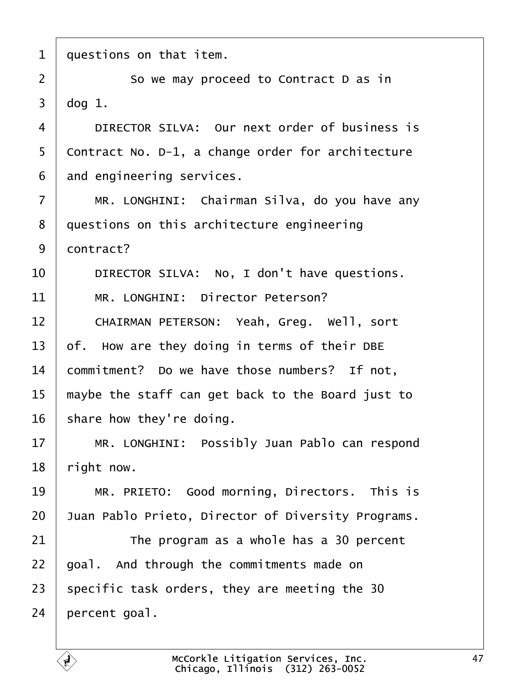<span id="page-46-0"></span>

| 1              | questions on that item.                            |
|----------------|----------------------------------------------------|
| $\overline{2}$ | So we may proceed to Contract D as in              |
| 3              | $dog1$ .                                           |
| 4              | DIRECTOR SILVA: Our next order of business is      |
| 5              | Contract No. D-1, a change order for architecture  |
| 6              | and engineering services.                          |
| $\overline{7}$ | MR. LONGHINI: Chairman Silva, do you have any      |
| 8              | questions on this architecture engineering         |
| 9              | dontract?                                          |
| 10             | DIRECTOR SILVA: No, I don't have questions.        |
| 11             | MR. LONGHINI: Director Peterson?                   |
| 12             | CHAIRMAN PETERSON: Yeah, Greg. Well, sort          |
| 13             | of. How are they doing in terms of their DBE       |
| 14             | commitment? Do we have those numbers? If not,      |
| 15             | maybe the staff can get back to the Board just to  |
| 16             | share how they're doing.                           |
| 17             | MR. LONGHINI: Possibly Juan Pablo can respond      |
| 18             | right now.                                         |
| 19             | MR. PRIETO: Good morning, Directors. This is       |
| 20             | Juan Pablo Prieto, Director of Diversity Programs. |
| 21             | The program as a whole has a 30 percent            |
| 22             | goal. And through the commitments made on          |
| 23             | specific task orders, they are meeting the 30      |
| 24             | percent goal.                                      |
|                |                                                    |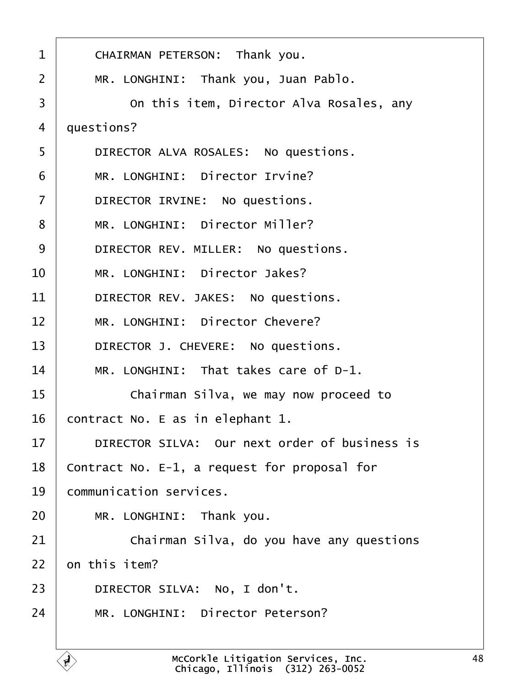<span id="page-47-0"></span>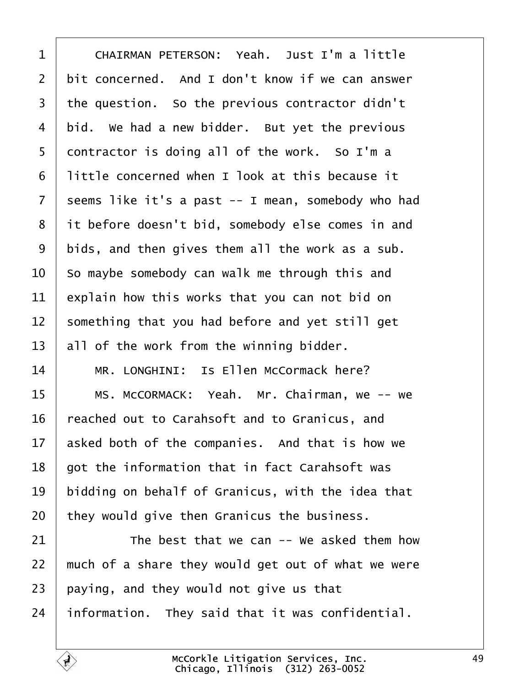<span id="page-48-0"></span>

| 1               | CHAIRMAN PETERSON: Yeah. Just I'm a little         |
|-----------------|----------------------------------------------------|
| $\overline{2}$  | bit concerned. And I don't know if we can answer   |
| 3               | the question. So the previous contractor didn't    |
| 4               | bid. We had a new bidder. But yet the previous     |
| 5               | dontractor is doing all of the work. So I'm a      |
| 6               | little concerned when I look at this because it    |
| $\overline{7}$  | seems like it's a past -- I mean, somebody who had |
| 8               | it before doesn't bid, somebody else comes in and  |
| 9               | bids, and then gives them all the work as a sub.   |
| 10              | So maybe somebody can walk me through this and     |
| 11              | explain how this works that you can not bid on     |
| 12              | something that you had before and yet still get    |
| 13              | all of the work from the winning bidder.           |
| 14              | MR. LONGHINI: Is Ellen McCormack here?             |
| 15              | MS. McCORMACK: Yeah. Mr. Chairman, we -- we        |
| 16              | eached out to Carahsoft and to Granicus, and       |
| 17 <sub>1</sub> | asked both of the companies. And that is how we    |
| 18              | got the information that in fact Carahsoft was     |
| 19              | bidding on behalf of Granicus, with the idea that  |
| 20              | they would give then Granicus the business.        |
| 21              | The best that we can -- We asked them how          |
| 22              | much of a share they would get out of what we were |
| 23              | paying, and they would not give us that            |
| 24              | information. They said that it was confidential.   |
|                 |                                                    |

 $\overline{1}$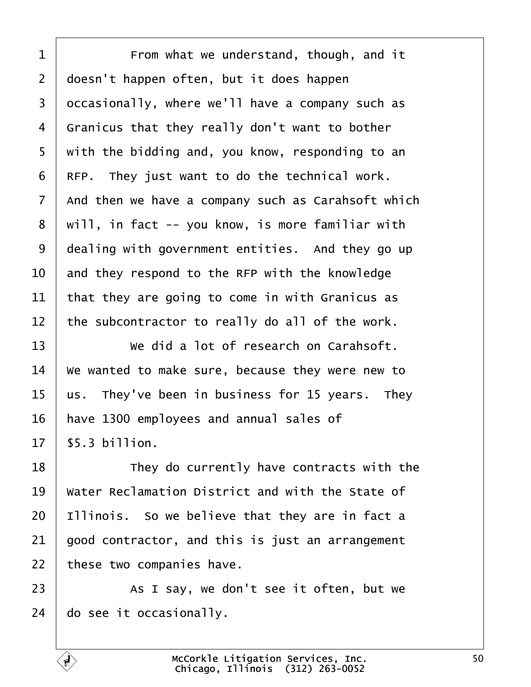<span id="page-49-0"></span>

| 1              | From what we understand, though, and it            |
|----------------|----------------------------------------------------|
| $\overline{2}$ | doesn't happen often, but it does happen           |
| 3              | dccasionally, where we'll have a company such as   |
| 4              | Granicus that they really don't want to bother     |
| 5              | with the bidding and, you know, responding to an   |
| 6              | RFP. They just want to do the technical work.      |
| 7              | And then we have a company such as Carahsoft which |
| 8              | will, in fact -- you know, is more familiar with   |
| 9              | dealing with government entities. And they go up   |
| 10             | and they respond to the RFP with the knowledge     |
| 11             | that they are going to come in with Granicus as    |
| 12             | the subcontractor to really do all of the work.    |
| 13             | We did a lot of research on Carahsoft.             |
| 14             | We wanted to make sure, because they were new to   |
| 15             | us. They've been in business for 15 years. They    |
| 16             | have 1300 employees and annual sales of            |
| 17             | \$5.3 billion.                                     |
| 18             | They do currently have contracts with the          |
| 19             | Water Reclamation District and with the State of   |
| 20             | Illinois. So we believe that they are in fact a    |
| 21             | good contractor, and this is just an arrangement   |
| 22             | these two companies have.                          |
| 23             | As I say, we don't see it often, but we            |
| 24             | do see it occasionally.                            |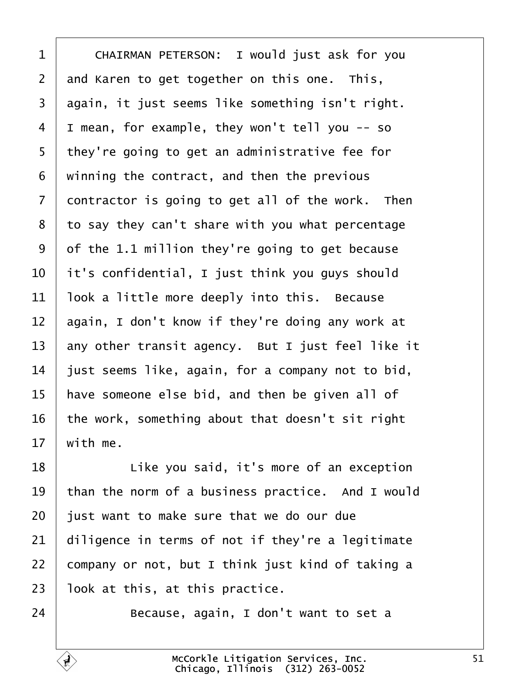<span id="page-50-0"></span>

| 1              | CHAIRMAN PETERSON: I would just ask for you       |
|----------------|---------------------------------------------------|
| $\overline{2}$ | and Karen to get together on this one. This,      |
| 3              | again, it just seems like something isn't right.  |
| 4              | I mean, for example, they won't tell you -- so    |
| 5              | they're going to get an administrative fee for    |
| 6              | winning the contract, and then the previous       |
| 7              | dontractor is going to get all of the work. Then  |
| 8              | to say they can't share with you what percentage  |
| 9              | of the 1.1 million they're going to get because   |
| 10             | it's confidential, I just think you guys should   |
| 11             | look a little more deeply into this. Because      |
| 12             | again, I don't know if they're doing any work at  |
| 13             | any other transit agency. But I just feel like it |
| 14             | just seems like, again, for a company not to bid, |
| 15             | have someone else bid, and then be given all of   |
| 16             | the work, something about that doesn't sit right  |
| 17             | with me.                                          |
| 18             | Like you said, it's more of an exception          |
| 19             | than the norm of a business practice. And I would |
| 20             | just want to make sure that we do our due         |
| 21             | diligence in terms of not if they're a legitimate |
| 22             | company or not, but I think just kind of taking a |
| 23             | look at this, at this practice.                   |
| 24             | Because, again, I don't want to set a             |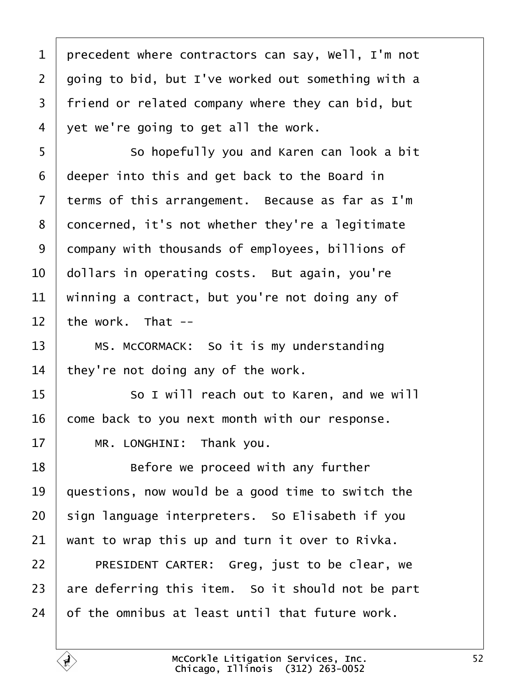<span id="page-51-0"></span>

| 1              | precedent where contractors can say, Well, I'm not |
|----------------|----------------------------------------------------|
| 2              | going to bid, but I've worked out something with a |
| 3              | friend or related company where they can bid, but  |
| 4              | yet we're going to get all the work.               |
| 5              | So hopefully you and Karen can look a bit          |
| 6              | deeper into this and get back to the Board in      |
| $\overline{7}$ | terms of this arrangement. Because as far as I'm   |
| 8              | doncerned, it's not whether they're a legitimate   |
| 9              | dompany with thousands of employees, billions of   |
| 10             | dollars in operating costs. But again, you're      |
| 11             | winning a contract, but you're not doing any of    |
| 12             | the work. That --                                  |
| 13             | MS. McCORMACK: So it is my understanding           |
| 14             | they're not doing any of the work.                 |
| 15             | So I will reach out to Karen, and we will          |
| 16             | come back to you next month with our response.     |
| 17             | MR. LONGHINI: Thank you.                           |
| 18             | Before we proceed with any further                 |
| 19             | questions, now would be a good time to switch the  |
| 20             | sign language interpreters. So Elisabeth if you    |
| 21             | want to wrap this up and turn it over to Rivka.    |
| 22             | PRESIDENT CARTER: Greg, just to be clear, we       |
| 23             | are deferring this item. So it should not be part  |
| 24             | of the omnibus at least until that future work.    |
|                |                                                    |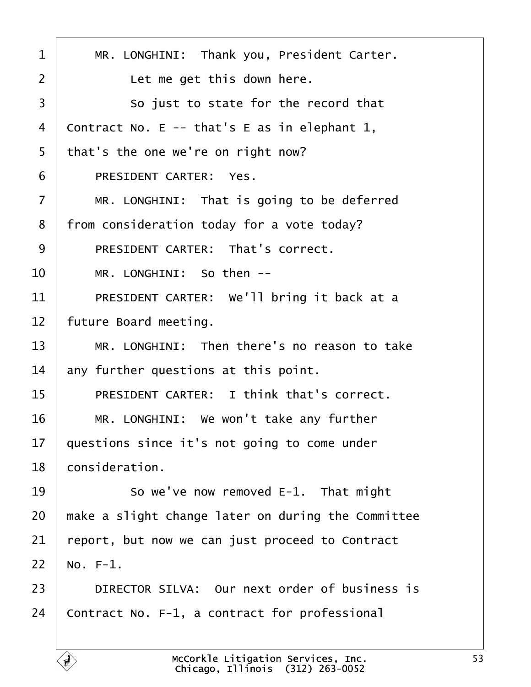<span id="page-52-0"></span>

| 1  | MR. LONGHINI: Thank you, President Carter.         |
|----|----------------------------------------------------|
| 2  | Let me get this down here.                         |
| 3  | So just to state for the record that               |
| 4  | Contract No. E -- that's E as in elephant 1,       |
| 5  | that's the one we're on right now?                 |
| 6  | PRESIDENT CARTER: Yes.                             |
| 7  | MR. LONGHINI: That is going to be deferred         |
| 8  | from consideration today for a vote today?         |
| 9  | <b>PRESIDENT CARTER: That's correct.</b>           |
| 10 | MR. LONGHINI: So then --                           |
| 11 | PRESIDENT CARTER: We'll bring it back at a         |
| 12 | future Board meeting.                              |
| 13 | MR. LONGHINI: Then there's no reason to take       |
| 14 | any further questions at this point.               |
| 15 | <b>PRESIDENT CARTER: I think that's correct.</b>   |
| 16 | MR. LONGHINI: We won't take any further            |
| 17 | questions since it's not going to come under       |
| 18 | consideration.                                     |
| 19 | So we've now removed E-1. That might               |
| 20 | make a slight change later on during the Committee |
| 21 | report, but now we can just proceed to Contract    |
| 22 | No. F-1.                                           |
| 23 | DIRECTOR SILVA: Our next order of business is      |
| 24 | Contract No. F-1, a contract for professional      |
|    |                                                    |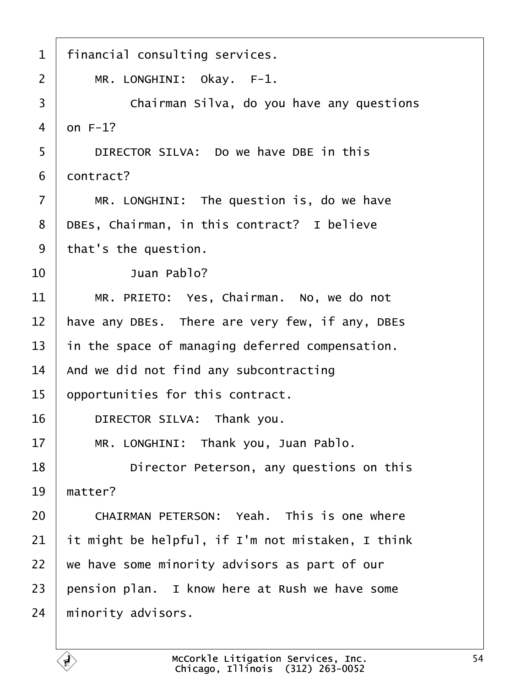<span id="page-53-0"></span>

| 1              | financial consulting services.                    |
|----------------|---------------------------------------------------|
| $\overline{2}$ | MR. LONGHINI: Okay. F-1.                          |
| 3              | Chairman Silva, do you have any questions         |
| $\overline{4}$ | $dn F-1?$                                         |
| 5              | DIRECTOR SILVA: Do we have DBE in this            |
| 6              | dontract?                                         |
|                |                                                   |
| $\overline{7}$ | MR. LONGHINI: The question is, do we have         |
| 8              | DBEs, Chairman, in this contract? I believe       |
| 9              | that's the question.                              |
| 10             | Juan Pablo?                                       |
| 11             | MR. PRIETO: Yes, Chairman. No, we do not          |
| 12             | have any DBEs. There are very few, if any, DBEs   |
| 13             | in the space of managing deferred compensation.   |
| 14             | And we did not find any subcontracting            |
| 15             | opportunities for this contract.                  |
| 16             | DIRECTOR SILVA: Thank you.                        |
| 17             | MR. LONGHINI: Thank you, Juan Pablo.              |
| 18             | Director Peterson, any questions on this          |
| 19             | matter?                                           |
| 20             | <b>CHAIRMAN PETERSON: Yeah. This is one where</b> |
| 21             | it might be helpful, if I'm not mistaken, I think |
| 22             | we have some minority advisors as part of our     |
| 23             | pension plan. I know here at Rush we have some    |
| 24             | minority advisors.                                |
|                |                                                   |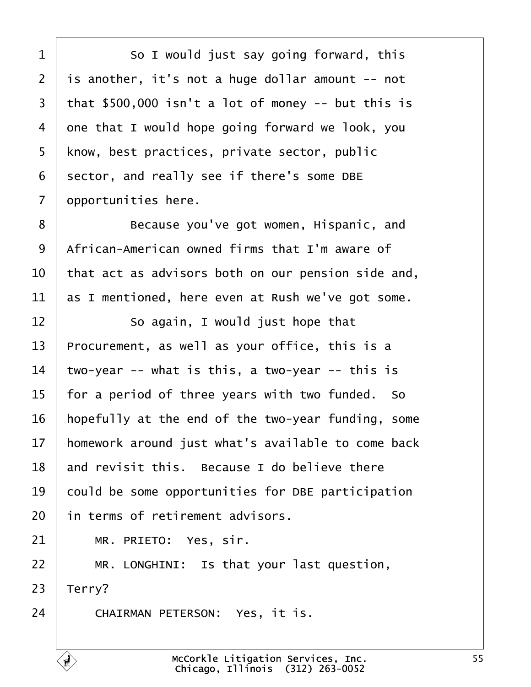<span id="page-54-0"></span>1 **So I would just say going forward, this** 2 is another, it's not a huge dollar amount -- not 3 that  $$500,000$  isn't a lot of money  $-$  but this is 4 one that I would hope going forward we look, you 5 know, best practices, private sector, public 6 sector, and really see if there's some DBE 7 dpportunities here. 8 **Because you've got women, Hispanic, and** 9 African-American owned firms that I'm aware of 10 that act as advisors both on our pension side and, 11 as I mentioned, here even at Rush we've got some.  $12$   $\sim$  So again, I would just hope that 13 Procurement, as well as your office, this is a 14 two-year -- what is this, a two-year  $-$  this is 15 for a period of three years with two funded. So 16 hopefully at the end of the two-year funding, some 17 homework around just what's available to come back 18 and revisit this. Because I do believe there 19 could be some opportunities for DBE participation 20 in terms of retirement advisors.  $21$  | MR. PRIETO: Yes, sir.  $22$  | MR. LONGHINI: Is that your last question, 23  $^{\circ}$  Terry? 24 CHAIRMAN PETERSON: Yes, it is.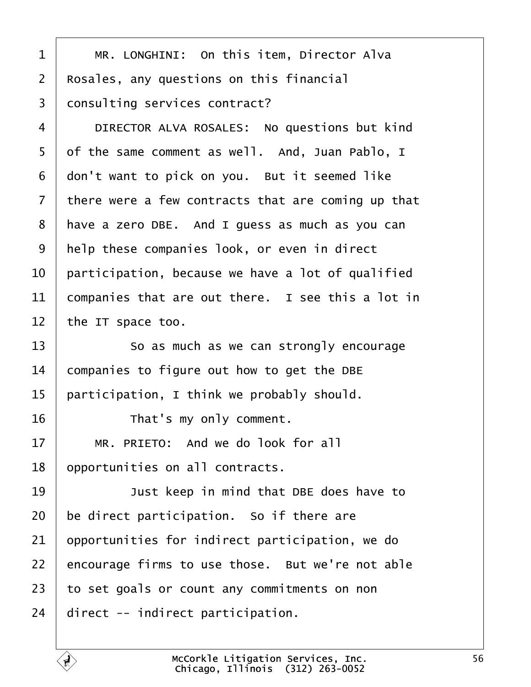<span id="page-55-0"></span>

|  | MR. LONGHINI: On this item, Director Alva |  |  |
|--|-------------------------------------------|--|--|
|--|-------------------------------------------|--|--|

- 2 Rosales, any questions on this financial
- 3 donsulting services contract?
- 4 | DIRECTOR ALVA ROSALES: No questions but kind
- 5 df the same comment as well. And, Juan Pablo, I
- 6 don't want to pick on you. But it seemed like
- 7 there were a few contracts that are coming up that
- 8 have a zero DBE. And I guess as much as you can
- 9 help these companies look, or even in direct
- 10 participation, because we have a lot of qualified
- 11 companies that are out there. I see this a lot in
- 12 the IT space too.
- 13 **So as much as we can strongly encourage**
- 14 companies to figure out how to get the DBE
- 15 participation, I think we probably should.
- 16 **That's my only comment.**
- $17 \parallel MR$ . PRIETO: And we do look for all
- 18 opportunities on all contracts.
- 19 **Just keep in mind that DBE does have to**
- 20 be direct participation. So if there are
- 21 opportunities for indirect participation, we do
- 22 encourage firms to use those. But we're not able
- 23 to set goals or count any commitments on non
- 24 direct -- indirect participation.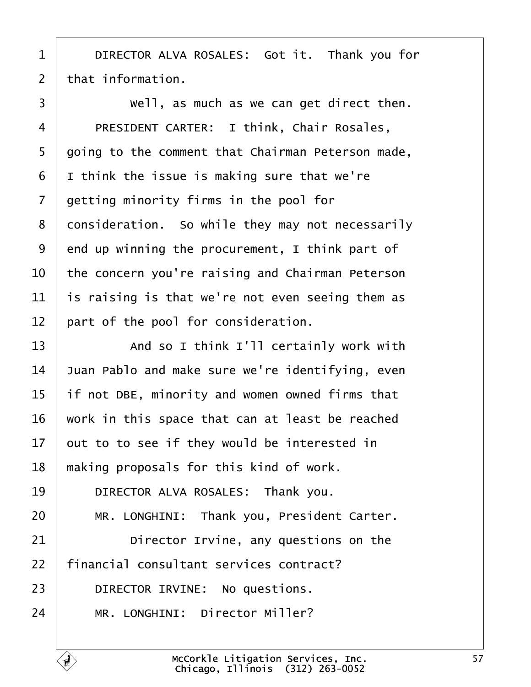- <span id="page-56-0"></span>1 | DIRECTOR ALVA ROSALES: Got it. Thank you for
- 2 that information.
- $\overline{3}$   $\overline{1}$  Well, as much as we can get direct then.
- 4 | PRESIDENT CARTER: I think, Chair Rosales,
- 5 going to the comment that Chairman Peterson made,
- $6$  I think the issue is making sure that we're
- 7 detting minority firms in the pool for
- 8 donsideration. So while they may not necessarily
- 9 end up winning the procurement, I think part of
- 10 the concern you're raising and Chairman Peterson
- 11 is raising is that we're not even seeing them as
- 12 part of the pool for consideration.
- 13 **And so I think I'll certainly work with**
- 14 Juan Pablo and make sure we're identifying, even
- 15 if not DBE, minority and women owned firms that
- 16 work in this space that can at least be reached
- 17 but to to see if they would be interested in
- 18 making proposals for this kind of work.
- 19 | DIRECTOR ALVA ROSALES: Thank you.
- 20 | MR. LONGHINI: Thank you, President Carter.
- 21 **Director Irvine, any questions on the**
- 22 financial consultant services contract?
- 23 | DIRECTOR IRVINE: No questions.
- 24 | MR. LONGHINI: Director Miller?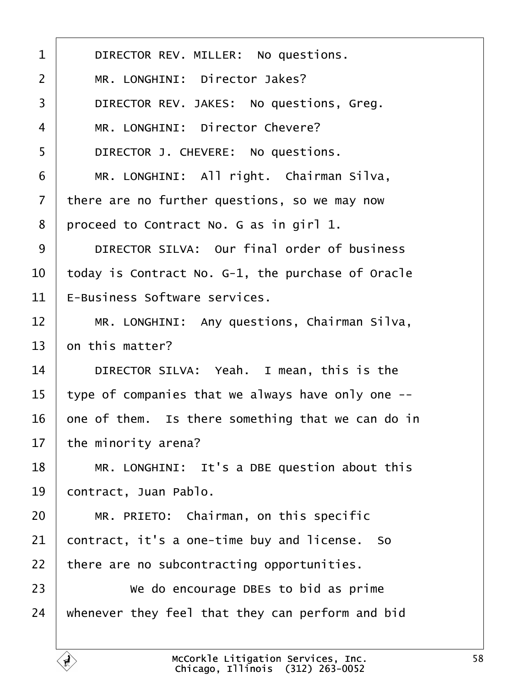<span id="page-57-0"></span>

| 1              | DIRECTOR REV. MILLER: No questions.               |
|----------------|---------------------------------------------------|
| $\overline{2}$ | MR. LONGHINI: Director Jakes?                     |
| 3              | DIRECTOR REV. JAKES: No questions, Greg.          |
| $\overline{4}$ | MR. LONGHINI: Director Chevere?                   |
| 5              | DIRECTOR J. CHEVERE: No questions.                |
| 6              | MR. LONGHINI: All right. Chairman Silva,          |
| $\overline{7}$ | there are no further questions, so we may now     |
| 8              | proceed to Contract No. G as in girl 1.           |
| 9              | DIRECTOR SILVA: Our final order of business       |
| 10             | today is Contract No. G-1, the purchase of Oracle |
| 11             | E-Business Software services.                     |
| 12             | MR. LONGHINI: Any questions, Chairman Silva,      |
| 13             | on this matter?                                   |
| 14             | DIRECTOR SILVA: Yeah. I mean, this is the         |
| 15             | type of companies that we always have only one -- |
| 16             | one of them. Is there something that we can do in |
| 17             | the minority arena?                               |
| 18             | MR. LONGHINI: It's a DBE question about this      |
| 19             | contract, Juan Pablo.                             |
| 20             | MR. PRIETO: Chairman, on this specific            |
| 21             | contract, it's a one-time buy and license. So     |
| 22             | there are no subcontracting opportunities.        |
| 23             | We do encourage DBEs to bid as prime              |
| 24             | whenever they feel that they can perform and bid  |
|                |                                                   |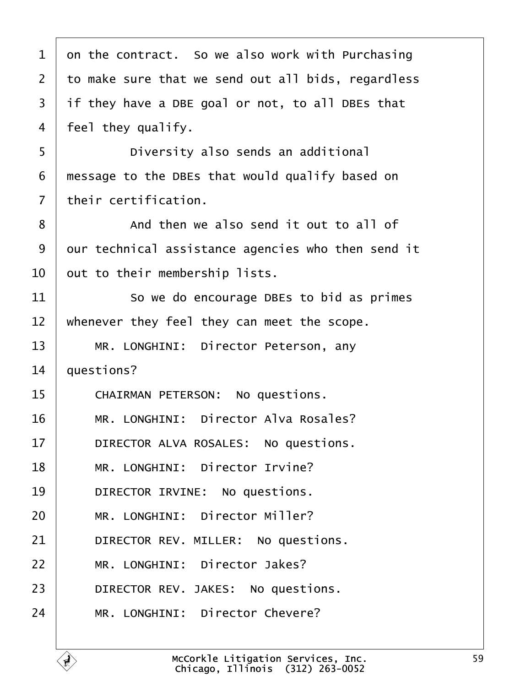<span id="page-58-0"></span>

| 1              | on the contract. So we also work with Purchasing   |
|----------------|----------------------------------------------------|
| $\overline{2}$ | to make sure that we send out all bids, regardless |
| 3              | if they have a DBE goal or not, to all DBEs that   |
| 4              | feel they qualify.                                 |
| 5              | Diversity also sends an additional                 |
| 6              | message to the DBEs that would qualify based on    |
| $\overline{7}$ | their certification.                               |
| 8              | And then we also send it out to all of             |
| 9              | dur technical assistance agencies who then send it |
| 10             | but to their membership lists.                     |
| 11             | So we do encourage DBEs to bid as primes           |
| 12             | whenever they feel they can meet the scope.        |
| 13             | MR. LONGHINI: Director Peterson, any               |
| 14             | questions?                                         |
| 15             | <b>CHAIRMAN PETERSON: No questions.</b>            |
| 16             | MR. LONGHINI: Director Alva Rosales?               |
| 17             | DIRECTOR ALVA ROSALES: No questions.               |
| 18             | MR. LONGHINI: Director Irvine?                     |
| 19             | DIRECTOR IRVINE: No questions.                     |
| 20             | MR. LONGHINI: Director Miller?                     |
| 21             | DIRECTOR REV. MILLER: No questions.                |
| 22             | MR. LONGHINI: Director Jakes?                      |
| 23             | DIRECTOR REV. JAKES: No questions.                 |
| 24             | MR. LONGHINI: Director Chevere?                    |
|                |                                                    |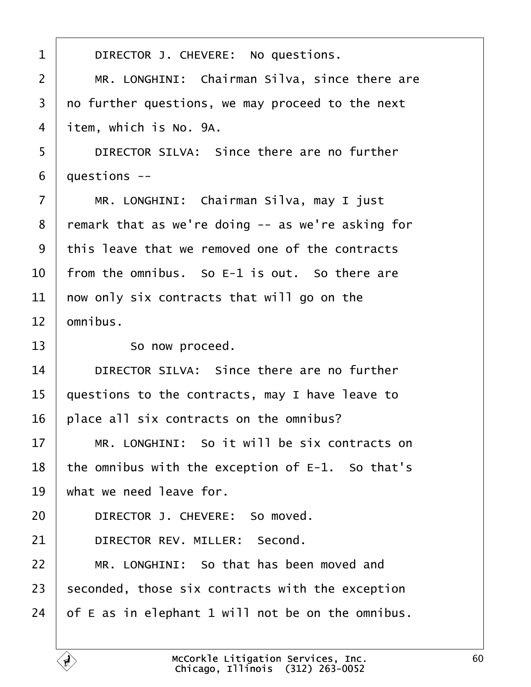| 1              | DIRECTOR J. CHEVERE: No questions.                |  |
|----------------|---------------------------------------------------|--|
| $\overline{2}$ | MR. LONGHINI: Chairman Silva, since there are     |  |
| 3              | no further questions, we may proceed to the next  |  |
| 4              | item, which is No. 9A.                            |  |
| 5              | DIRECTOR SILVA: Since there are no further        |  |
| 6              | duestions --                                      |  |
| $\overline{7}$ | MR. LONGHINI: Chairman Silva, may I just          |  |
| 8              | remark that as we're doing -- as we're asking for |  |
| 9              | this leave that we removed one of the contracts   |  |
| 10             | from the omnibus. So E-1 is out. So there are     |  |
| 11             | how only six contracts that will go on the        |  |
| 12             | omnibus.                                          |  |
| 13             | So now proceed.                                   |  |
| 14             | DIRECTOR SILVA: Since there are no further        |  |
| 15             | questions to the contracts, may I have leave to   |  |
| 16             | place all six contracts on the omnibus?           |  |
| 17             | MR. LONGHINI: So it will be six contracts on      |  |
| 18             | the omnibus with the exception of E-1. So that's  |  |
| 19             | what we need leave for.                           |  |
| 20             | DIRECTOR J. CHEVERE: So moved.                    |  |
| 21             | DIRECTOR REV. MILLER: Second.                     |  |
| 22             | MR. LONGHINI: So that has been moved and          |  |
| 23             | seconded, those six contracts with the exception  |  |
| 24             | of E as in elephant 1 will not be on the omnibus. |  |
|                |                                                   |  |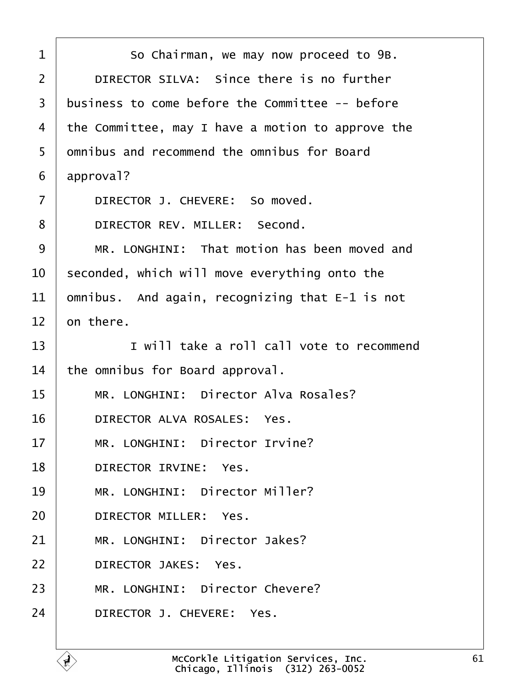| 1  | So Chairman, we may now proceed to 9B.            |
|----|---------------------------------------------------|
| 2  | DIRECTOR SILVA: Since there is no further         |
| 3  | business to come before the Committee -- before   |
| 4  | the Committee, may I have a motion to approve the |
| 5  | dmnibus and recommend the omnibus for Board       |
| 6  | approval?                                         |
| 7  | DIRECTOR J. CHEVERE: So moved.                    |
| 8  | DIRECTOR REV. MILLER: Second.                     |
| 9  | MR. LONGHINI: That motion has been moved and      |
| 10 | seconded, which will move everything onto the     |
| 11 | omnibus. And again, recognizing that E-1 is not   |
| 12 | on there.                                         |
| 13 | I will take a roll call vote to recommend         |
| 14 | the omnibus for Board approval.                   |
| 15 | MR. LONGHINI: Director Alva Rosales?              |
| 16 | DIRECTOR ALVA ROSALES: Yes.                       |
| 17 | MR. LONGHINI: Director Irvine?                    |
| 18 | DIRECTOR IRVINE: Yes.                             |
| 19 | MR. LONGHINI: Director Miller?                    |
| 20 | DIRECTOR MILLER: Yes.                             |
| 21 | MR. LONGHINI: Director Jakes?                     |
| 22 | <b>DIRECTOR JAKES: Yes.</b>                       |
| 23 | MR. LONGHINI: Director Chevere?                   |
| 24 | DIRECTOR J. CHEVERE: Yes.                         |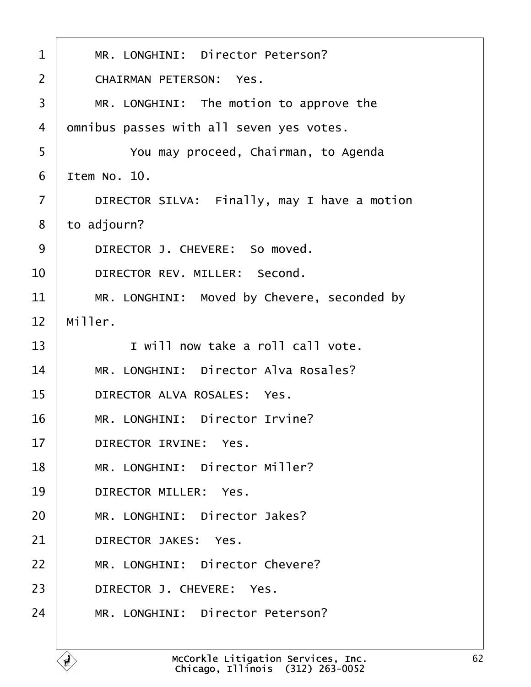| $\mathbf 1$    | MR. LONGHINI: Director Peterson?             |
|----------------|----------------------------------------------|
| $\overline{2}$ | <b>CHAIRMAN PETERSON: Yes.</b>               |
| 3              | MR. LONGHINI: The motion to approve the      |
| 4              | d mnibus passes with all seven yes votes.    |
| 5              | You may proceed, Chairman, to Agenda         |
| 6              | Item No. 10.                                 |
| $\overline{7}$ | DIRECTOR SILVA: Finally, may I have a motion |
| 8              | to adjourn?                                  |
| 9              | DIRECTOR J. CHEVERE: So moved.               |
| 10             | DIRECTOR REV. MILLER: Second.                |
| 11             | MR. LONGHINI: Moved by Chevere, seconded by  |
| 12             | Miller.                                      |
| 13             | I will now take a roll call vote.            |
| 14             | MR. LONGHINI: Director Alva Rosales?         |
| 15             | DIRECTOR ALVA ROSALES: Yes.                  |
| 16             | MR. LONGHINI: Director Irvine?               |
| 17             | <b>DIRECTOR IRVINE: Yes.</b>                 |
| 18             | MR. LONGHINI: Director Miller?               |
| 19             | <b>DIRECTOR MILLER: Yes.</b>                 |
| 20             | MR. LONGHINI: Director Jakes?                |
| 21             | <b>DIRECTOR JAKES: Yes.</b>                  |
| 22             | MR. LONGHINI: Director Chevere?              |
| 23             | DIRECTOR J. CHEVERE: Yes.                    |
| 24             | MR. LONGHINI: Director Peterson?             |
|                |                                              |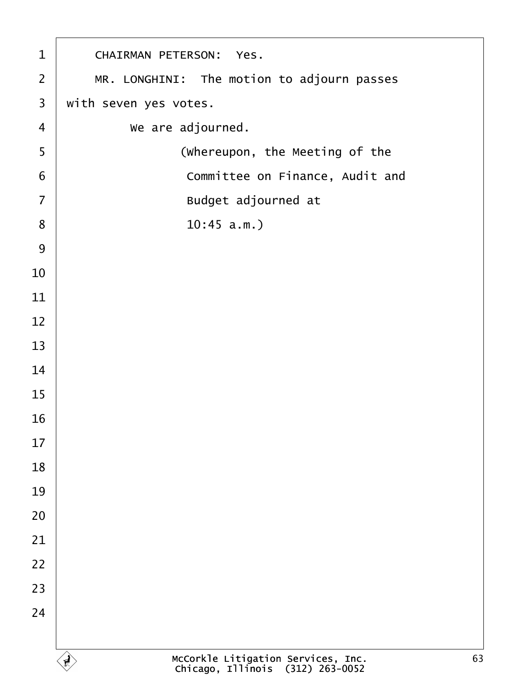| $\mathbf 1$              | <b>CHAIRMAN PETERSON: Yes.</b>             |
|--------------------------|--------------------------------------------|
| $\overline{2}$           | MR. LONGHINI: The motion to adjourn passes |
| $\mathfrak{S}$           | with seven yes votes.                      |
| $\overline{\mathcal{A}}$ | We are adjourned.                          |
| $\sqrt{5}$               | (Whereupon, the Meeting of the             |
| $\,6$                    | Committee on Finance, Audit and            |
| $\overline{7}$           | Budget adjourned at                        |
| 8                        | $10:45$ a.m.)                              |
| $9\,$                    |                                            |
| 10                       |                                            |
| 11                       |                                            |
| 12                       |                                            |
| 13                       |                                            |
| 14                       |                                            |
| 15                       |                                            |
| 16                       |                                            |
| 17                       |                                            |
| 18                       |                                            |
| 19                       |                                            |
| $20\,$                   |                                            |
| 21                       |                                            |
| 22                       |                                            |
| 23                       |                                            |
| 24                       |                                            |
|                          |                                            |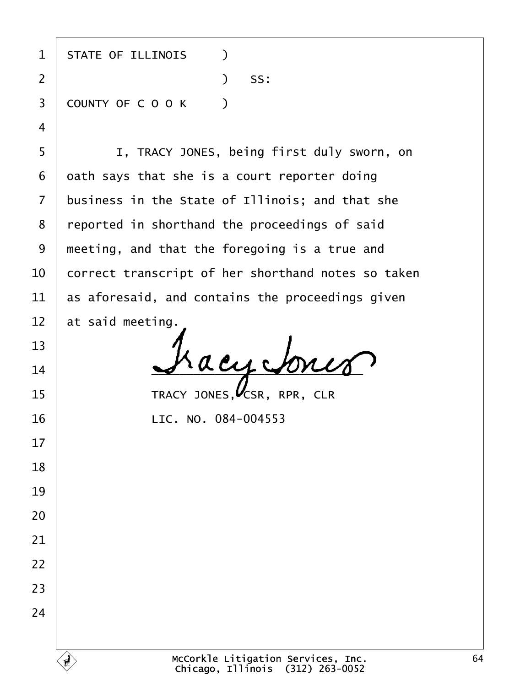| 1              | <b>STATE OF ILLINOIS</b><br>$\lambda$              |
|----------------|----------------------------------------------------|
| $\overline{2}$ | $)$ SS:                                            |
| 3              | COUNTY OF COOK<br>$\rightarrow$                    |
| 4              |                                                    |
| 5              | I, TRACY JONES, being first duly sworn, on         |
| 6              | dath says that she is a court reporter doing       |
| 7              | business in the State of Illinois; and that she    |
| 8              | reported in shorthand the proceedings of said      |
| 9              | meeting, and that the foregoing is a true and      |
| 10             | correct transcript of her shorthand notes so taken |
| 11             | as aforesaid, and contains the proceedings given   |
| 12             | at said meeting.                                   |
| 13             |                                                    |
| 14             |                                                    |
| 15             | TRACY JONES, CSR, RPR, CLR                         |
| 16             | LIC. NO. 084-004553                                |
| 17             |                                                    |
| 18             |                                                    |
| 19             |                                                    |
| 20             |                                                    |
| 21             |                                                    |
| 22             |                                                    |
| 23             |                                                    |
| 24             |                                                    |
|                |                                                    |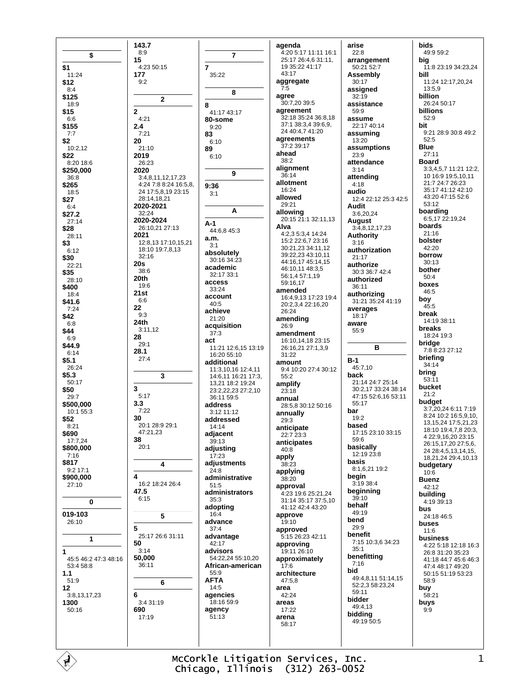|                      | 143.7                                      |                             |
|----------------------|--------------------------------------------|-----------------------------|
| \$                   | 8:9                                        | 7                           |
| \$1                  | 15<br>4:23 50:15                           | 7                           |
| 11:24                | 177                                        | 35:22                       |
| \$12                 | 9:2                                        |                             |
| 8:4<br>\$125         |                                            | 8                           |
| 18:9                 | 2                                          | 8                           |
| \$15                 | 2                                          | 41:17 43:17                 |
| 6:6<br>\$155         | 4:21<br>2.4                                | 80-some<br>9:20             |
| 7:7                  | 7:21                                       | 83                          |
| \$2                  | 20                                         | 6:10                        |
| 10:2,12<br>\$22      | 21:10<br>2019                              | 89<br>6:10                  |
| 8:20 18:6            | 26:23                                      |                             |
| \$250,000            | 2020                                       | 9                           |
| 36:8<br>\$265        | 3:4,8,11,12,17,23<br>4:24 7:8 8:24 16:5,8, | 9:36                        |
| 18:5                 | 24 17:5,8,19 23:15                         | 3:1                         |
| \$27<br>6:4          | 28:14,18,21<br>2020-2021                   |                             |
| \$27.2               | 32:24                                      | А                           |
| 27:14                | 2020-2024                                  | A-1                         |
| \$28<br>28:11        | 26:10,21 27:13<br>2021                     | 44:6,8 45:3                 |
| \$3                  | 12:8,13 17:10,15,21                        | a.m.<br>3:1                 |
| 6:12                 | 18:10 19:7,8,13<br>32:16                   | absolutely                  |
| \$30<br>22:21        | 20s                                        | 30:16 34:23                 |
| \$35                 | 38:6                                       | academic<br>32:17 33:1      |
| 28:10                | 20th<br>19:6                               | access                      |
| \$400<br>18:4        | 21st                                       | 33:24                       |
| \$41.6               | 6:6                                        | account<br>40:5             |
| 7:24<br>\$42         | 22<br>9:3                                  | achieve                     |
| 6:8                  | 24th                                       | 21:20<br>acquisition        |
| \$44                 | 3:11,12<br>28                              | 37:3                        |
| 6:9<br>\$44.9        | 29:1                                       | act<br>11:21 12:6,1         |
| 6:14                 | 28.1                                       | 16:20 55:10                 |
| \$5.1<br>26:24       | 27:4                                       | additional                  |
| \$5.3                | 3                                          | 11:3,10,161<br>14:6,11 16:2 |
| 50:17                | 3                                          | 13,21 18:2 1                |
| \$50<br>29:7         | 5:17                                       | 23:2,22,232<br>36:11 59:5   |
| \$500,000            | 3.3                                        | address                     |
| 10:1 55:3<br>\$52    | 7:22<br>30                                 | 3:12 11:12<br>addressed     |
| 8:21                 | 20:1 28:9 29:1                             | 14:14                       |
| \$690                | 47:21,23                                   | adjacent                    |
| 17:7,24<br>\$800,000 | 38<br>20:1                                 | 39:13<br>adjusting          |
| 7:16                 |                                            | 17:23                       |
| \$817<br>$9:2$ 17:1  | 4                                          | adjustment:                 |
| \$900,000            | 4                                          | 24:8<br>administrat         |
| 27:10                | 16:2 18:24 26:4                            | 51:5                        |
|                      | 47.5<br>6:15                               | administrat<br>35:3         |
| 0                    |                                            | adopting                    |
| 019-103<br>26:10     | 5                                          | 16:4<br>advance             |
|                      | 5                                          | 37:4                        |
| 1                    | 25:17 26:6 31:11                           | advantage                   |
| 1                    | 50<br>3:14                                 | 42:17<br>advisors           |
| 45:5 46:2 47:3 48:16 | 50,000                                     | 54:22,24 55:                |
| 53:4 58:8            | 36:11                                      | African-ame<br>55:9         |
| 1.1<br>51:9          | 6                                          | AFTA                        |
| 12                   |                                            | 14:5                        |
| 3:8,13,17,23<br>1300 | 6<br>3:4 31:19                             | agencies<br>18:16 59:9      |
| 50:16                | 690                                        | agency                      |
|                      | 17:19                                      | 51:13                       |
|                      |                                            |                             |
|                      |                                            |                             |

agenda 4:20 5:17 11:11 16:1 25:17 26:4,6 31:11, 19 35:22 41:17 43:17 aggregate  $7.5$ agree 30:7,20 39:5 agreement 32:18 35:24 36:8.18 37:1 38:3.4 39:6.9. 24 40:4.7 41:20 agreements 37:2 39:17 ahead  $38:2$ alignment  $36.14$ allotment 16:24 allowed  $29.21$ **allowing**<br>20:15 21:1 32:11,13 Alva 4:2,3 5:3,4 14:24 15:2 22:6,7 23:16 30:21,23 34:11,12 39:22.23 43:10.11 44:16 17 45:14 15 46:10,11 48:3,5 56:1 4 57:1 19  $59.1617$ amended 16:4,9,13 17:23 19:4 20:2,3,4 22:16,20 26:24 amending 26:9 amendment 16:10,14,18 23:15 1:21 12:6,15 13:19 26:16,21 27:1,3,9 31:22 amount 1:3,10,16 12:4,11 9:4 10:20 27:4 30:12 46 11 16:21 17:3  $55.2$ 3.21 18:2 19:24 amplify  $3.2222327210$  $23:18$ annual 28:5,8 30:12 50:16 annually  $29.3$ anticipate 22:7 23:3 anticipates  $40:8$ apply **justments** 38:23 applying ministrative  $38:20$ approval ministrators 4:23 19:6 25:21,24 31:14 35:17 37:5,10 41:12 42:4 43:20 approve 19:10 approved 5:15 26:23 42:11 approving 19:11 26:10  $4.222455.1020$ approximately rican-american ้17∙6 architecture 47:5.8 area 42:24 areas  $17:22$ arena 58:17

arise  $22:8$ arrangement  $50.21.52.7$ **Assembly**  $30:17$ assigned  $32:19$ assistance  $59.9$ assume 22:17 40:14 assuming 13:20 assumptions 23:9 attendance  $3:14$ attending  $4:18$ audio 12:4 22:12 25:3 42:5 Audit 3:6,20,24 August 3:4.8.12.17.23 **Authority**  $3:16$ authorization  $21:17$ authorize 30:3 36:7 42:4 authorized 36:11 **authorizing**<br>31:21 35:24 41:19 averages 18:17 aware 55:9  $\, {\bf B}$  $B-1$ 45:7,10 back 21:14 24:7 25:14 30:2,17 33:24 38:14 47:15 52:6,16 53:11 55:17 bar  $19.2$ based 17:15 23:10 33:15 59:6 basically 12:19 23:8 **basis** 8:1,6,21 19:2 begin 3:19 38:4 beginning  $39.10$ behalf 49:19 bend 29:9 benefit 7:15 10:3,6 34:23  $35.1$ benefitting  $7:16$ bid 49:4 8 11 51:14 15 52:2.3 58:23.24 59:11 bidder 49:4,13 bidding 49:19 50:5

**bids** 49:9 59:2 big 11:8 23:19 34:23,24 hill 11:24 12:17,20,24 13:5,9 billion 26:24 50:17 billions  $52.9$ bit 9:21 28:9 30:8 49:2  $52:5$ **Blue**  $27:11$ **Board** 3:3,4,5,7 11:21 12:2, 10 16:9 19:5,10,11 21:7 24:7 26:23 35:17 41:12 42:10 43:20 47:15 52:6 53:12 **boarding**<br>6:5,17 22:19,24 boards  $21:16$ bolster  $42:20$ borrow  $30.13$ bother  $50:4$ boxes  $46.5$ boy  $45:5$ break 14:19 38:11 breaks 18:24 19:3 bridge 7:8 8:23 27:12 briefing  $34:14$ bring  $53:11$ bucket  $21.2$ budget 3:7,20,24 6:11 7:19 8:24 10:2 16:5.9.10. 13.15.24 17:5.21.23 18:10 19:4,7,8 20:3, 4 22:9,16,20 23:15 26:15,17,20 27:5,6, 24 28:4,5,13,14,15, 18,21,24 29:4,10,13 budgetary  $10:6$ **Buenz** 42:12 building 4:19 39:13 bus 24:18.46:5 buses  $11:6$ business 4:22 5:18 12:18 16:3 26:8 31:20 35:23 41:18 44:7 45:6 46:3 47:4 48:17 49:20 50:15 51:19 53:23  $58.9$ buy  $58:21$ buys  $9:9$ 

McCorkle Litigation Services, Inc. Chicago, Illinois (312) 263-0052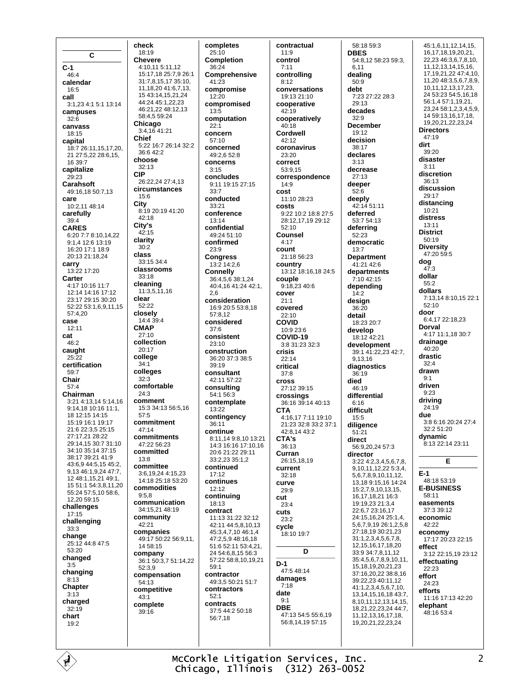$\mathbf c$  $C-1$  $46.4$ calendar  $16:5$ call 3:1,23 4:1 5:1 13:14 campuses  $32.6$ canvass  $18.15$ capital 18:7 26:11,15,17,20, 21 27:5,22 28:6,15, 16 39:7 capitalize  $29:23$ Carahsoft 49:16.18 50:7.13 care 10:2,11 48:14 carefully  $39.4$ **CARES** 6:20 7:7 8:10.14.22 9:1,4 12:6 13:19 16:20 17:1 18:9 20:13 21:18.24 carry  $13:22$  17:20 Carter 4:17 10:16 11:7 12:14 14:16 17:12 23:17 29:15 30:20 52:22 53:1,6,9,11,15 57:4.20 case  $12.11$ cat 46:2 caught  $25:22$ certification  $59.7$ Chair  $57:4$ Chairman 3:21 4:13,14 5:14,16  $9.141810.1611.1$ 18 12 15 14 15 15:19 16:1 19:17  $21.622.352515$  $27.17$  21 28.22 29:14.15 30:7 31:10 34:10 35:14 37:15 38:17 39:21 41:9 43:6,9 44:5,15 45:2, 9,13 46:1,9,24 47:7, 12 48:1,15,21 49:1, 15 51:1 54:3,8,11,20 55:24 57:5,10 58:6,  $12,20,59.15$ challenges  $17:15$ challenging  $33:3$ change 25:12 44:8 47:5 53:20 changed  $3:5$ changing  $8:13$ Chapter  $3.13$ charged  $32:19$ chart  $19:2$ 

check 18:19 **Chevere** 4:10,11 5:11.12 15:17.18 25:7.9 26:1 31:7 8 15 17 35:10 11.18.20 41:6.7.13. 15 43:14, 15, 21, 24 44:24 45:1,22,23 46:21.22 48:12.13 58:4.5 59:24 Chicago 3:4,16 41:21 Chief 5:22 16:7 26:14 32:2 36:642:2 choose  $32:13$ **CIP** 26:22 24 27:4 13 circumstances  $15.6$ City 8:19 20:19 41:20  $42.18$ City's  $42.15$ clarity  $30:2$ class  $33.15.34.4$ classrooms  $33:18$ cleaning  $11:3,5,11,16$ clear  $52.22$ closely 14:4 39:4 **CMAP**  $27:10$ collection 20:17 college  $34:1$ colleges  $32:3$ comfortable  $24.3$ comment 15:3 34:13 56:5,16  $57.5$ commitment  $47.14$ commitments 47:22 56:23 committed  $13.8$ committee 3:6,19,24 4:15,23 14:18 25:18 53:20 commodities  $9:5.8$ communication 34:15.21 48:19 community 42:21 companies 49:17 50:22 56:9,11,  $14.58:15$ company 36:1 50:3,7 51:14,22 52:3.9 compensation 54:13 competitive  $43:1$ complete  $39:16$ 

completes  $25:10$ **Completion**  $36.24$ Comprehensive  $41:23$ compromise  $12:20$ compromised  $13:5$ computation  $22:1$ concern 57:10 concerned 49:2,6 52:8 concerns  $3:15$ concludes 9:11 19:15 27:15  $33.7$ conducted 33:21 conference  $13:14$ confidential 49:24 51:10 confirmed  $23:9$ **Congress** 13:2 14:2,6 **Connelly** 36:4,5,6 38:1,24 40:4, 16 41:24 42:1, 2,6 consideration 16:9 20:5 53:8.18  $57.812$ considered  $37.6$ consistent 23:10 construction 36:20.37:3.38:5  $39.19$ consultant 42:11 57:22 consulting  $54.156.3$ contemplate 13:22 contingency 36:11 continue 8:11,14 9:8,10 13:21 14:3 16:16 17:10.16 20:6 21:22 29:11 33:2.23 35:1.2 continued  $17:12$ continues  $12.12$ continuing  $18:13$ contract 11:13 31:22 32:12 42:11 44:5.8.10.13 45:3.4.7.10 46:1.4  $47.25948.1618$ 51:6 52:11 53:4.21. 24 54:6.8.15 56:3 57:22 58:8.10.19.21  $50.1$ contractor 49:3,5 50:21 51:7 contractors  $52.1$ contracts 37:5 44:2 50:18 56:7,18

contractual  $11:9$ control  $7.11$ controllina  $8:12$ conversations 19:13 21:10 cooperative  $42.19$ cooperatively 40:18 Cordwell 42:12 coronavirus 23:20 correct 53:9.15 correspondence  $14:9$ cost 11:10 28:23 costs 9:22 10:2 18:8 27:5 28:12,17,19 29:12  $52.10$ **Counsel**  $4:17$ count 21:18 56:23 country 13:12 18:16,18 24:5 couple 9:18,23 40:6 cover  $21:1$ covered  $22:10$ **COVID** 10:9 23:6 COVID-19  $3.831.23323$ crisis  $22:14$ critical  $37:8$ **cross** 27:12 39:15 crossings 36:16 39:14 40:13 **CTA** 4:16.17 7:11 19:10 21:23 32:8 33:2 37:1  $42.81443.2$ CTA's  $36:13$ Curran 26:15.18.19 **CULTER**  $32.18$ curve  $29.9$ cut  $23.4$ cuts  $23:2$ cycle 18:10 19:7 D  $D-1$ 47:548:14 damages  $7:18$ date  $Q·1$ **DBE** 47:13 54:5 55:6.19 56:8,14,19 57:15

58:18 59:3 **DBES** 54:8.12 58:23 59:3. 6 11 dealing  $50.9$ debt 7:23 27:22 28:3  $29.13$ decades  $32.9$ **December** 19:12 decision  $38.17$ declares  $3.13$ decrease  $27:13$ deeper  $52.6$ deeply 42:14 51:11 deferred 53:7 54:13 deferring  $52.23$ democratic  $13:7$ **Department** 41:21 42:6 departments  $7:10,42:15$ depending  $14:2$ design  $36.20$ detail 18:23 20:7 develop 18:12 42:21 development 39:1 41:22,23 42:7, 9.13.16 diagnostics 36:19 died  $46.19$ differential  $6:16$ difficult  $15:5$ diligence  $51:21$ direct 56:9.20.24 57:3 director 3:22 4:2,3,4,5,6,7,8, 9 10 11 12 22 5 3 4 56789101112 13.18 9:15.16 14:24 15:2,7,9,10,13,15, 16, 17, 18, 21 16: 3 19:19,23 21:3,4 22:6,7 23:16,17 24:15,16,24 25:1,4, 5, 6, 7, 9, 19 26: 1, 2, 5, 8 27:18,19 30:21,23  $31:1,2,3,4,5,6,7,8,$ 12, 15, 16, 17, 18, 20 33:9 34:7,8,11,12 35:4.5.6.7.8.9.10.11. 15 18 19 20 21 23 37:16.20.22 38:8.16 39:22,23 40:11,12 41:1,2,3,4,5,6,7,10, 13.14.15.16.18 43:7. 8, 10, 11, 12, 13, 14, 15, 18,21,22,23,24 44:7, 11, 12, 13, 16, 17, 18, 19,20,21,22,23,24

45:1.6.11.12.14.15. 16,17,18,19,20,21, 22,23 46:3,6,7,8,10, 11, 12, 13, 14, 15, 16, 17, 19, 21, 22 47: 4, 10, 11,20 48:3,5,6,7,8,9,  $10, 11, 12, 13, 17, 23,$ 24 53:23 54:5 16 18 56:1,4 57:1,19,21,  $23.24.58.123459$ 14 59:13.16.17.18. 19.20.21.22.23.24 **Directors**  $47.19$ dirt 39:20 disaster  $3.11$ discretion 36:13 discussion  $29.17$ distancing 10:21 distress 13:11 **District** 50:19 **Diversity** 47:20 59:5 dog  $47:3$ dollar  $55.2$ dollars 7:13,14 8:10,15 22:1  $52.10$ door 6:4.17 22:18.23 Dorval 4:17 11:1,18 30:7 drainage  $40.20$ drastic  $32.4$ drawn  $9:1$ driven  $9.23$ driving 24:19 due 3:8 6:16 20:24 27:4  $32.251.20$ dynamic 8:13 22:14 23:11 F  $E-1$ 48:18 53:19 **E-BUSINESS**  $58.11$ easements 37:3 39:12 economic  $42.22$ economy 17:17 20:23 22:15 effect 3:12 22:15,19 23:12 effectuating  $22:23$ effort 24:23 efforts 11:16 17:13 42:20 elenhant  $48.1653.4$ 

McCorkle Litigation Services, Inc. Chicago, Illinois (312) 263-0052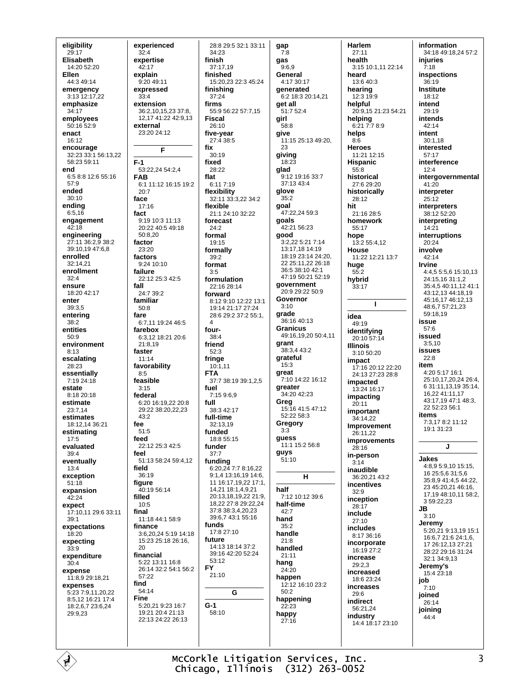eligibility  $29:17$ Elisabeth  $14.2052.20$ **Fllen** 44:3 49:14 emergency 3:13 12:17,22 emphasize  $34.17$ employees 50:16 52:9 enact 16:12 encourage 32:23 33:1 56:13,22 58:23.59:11 end 6:58:812:655:16 57:9 ended  $30.10$ ending  $6:5,16$ engagement  $42.18$ engineering 27:11 36:2,9 38:2 39:10.19 47:6.8 enrolled 32:14,21 enrollment  $32.4$ ensure 18:20 42:17 enter 39:3.5 enterina  $38:2$ entities  $50.9$ environment  $8:13$ escalating 28:23 essentially  $7:1924:18$ estate  $8.1820.18$ estimate 23:7,14 estimates 18:12,14 36:21 estimating  $17:5$ evaluated  $39:4$ eventually  $13.4$ exception  $51:18$ expansion  $42:24$ expect 17:10.11 29:6 33:11  $39:1$ expectations 18:20 expecting  $33:9$ expenditure  $30:4$ expense 11:8.9 29:18.21 expenses 5:23 7:9.11.20.22 8:5,12 16:21 17:4 18:2,6,7 23:6,24 29:9,23

experienced  $32:4$ expertise  $42.17$ explain  $9.2049.11$ expressed  $33:4$ extension 36:2 10 15 23 37:8 12.17 41:22 42:9.13 external  $23.2024.12$ F  $F-1$ 53:22.24 54:2.4 **FAB** 6:1 11:12 16:15 19:2  $20.7$ face  $17:16$ fact  $9.1910.311113$ 20:22 40:5 49:18  $50.820$ factor 23:20 factors 9:24 10:10 failure 22:12 25:3 42:5 fall 24:7 39:2 familiar  $50.8$ fare 6.7 11 19:24 46:5 farebox 6:3,12 18:21 20:6  $21:8,19$ faster  $11:14$ favorability  $8:5$ feasible  $3.15$ federal 6:20 16:19,22 20:8 29:22 38:20,22,23  $43:2$ fee  $51.5$ feed  $22.1225:342.5$ feel 51:13 58:24 59:4.12 field  $36.19$ figure 40:19 56:14 filled  $10:5$ final 11:18 44:1 58:9 finance 3:6,20,24 5:19 14:18 15:23 25:18 26:16, 20 financial 5:22 13:11 16:8 26:14 32:2 54:1 56:2  $57.22$ find 54:14 Fine  $5:20.219:2316:7$ 19:21 20:4 21:13 22:13 24:22 26:13

28:8 29:5 32:1 33:11 gap  $7:8$ gas  $37.1719$  $9.6.9$ finished General 15:20,23 22:3 45:24 finishing get all  $55:956:2257:7.15$ girl  $58:8$ five-year give 27:4 38:5 23 giving  $18.22$ glad  $6.117.19$ glove flexibility 32:11 33:3,22 34:2  $35.2$ qoal 21:1 24:10 32:22 goals forecast good formally formulation 22:16 28:14 forward 8:12 9:10 12:22 13:1  $3.10$ 19:14 21:17 27:24 grade 28.6.29.2.37.2.55.1 grant grateful  $15:3$ great 37:7 38:19 39:1,2,5 greater  $7.15969$ Greg 38:3 42:17 full-time  $32.1319$  $3:3$ guess 18:8 55:15 guys  $51:10$ **funding**<br>6:20.24 7:7 8:16.22 9:1 4 13:16 19 14:6 11 16:17 19 22 17:1 14,21 18:1,4,9,21 half 20:13,18,19,22 21:9, 18,22 27:8 29:22,24 37:8 38:3,4,20,23  $42:7$ 39:6.7 43:1 55:16 hand  $35.2$ 17:8 27:10 handle  $21:8$ 14:13 18:14 37:2 handled 39:16 42:20 52:24  $21.11$ hang  $24:20$ happen  $50:2$ G  $22.23$ happy  $27:16$ 

 $34:23$ 

37:24

firms

**Fiscal** 

fix

26:10

 $30:19$ 

28:22

flexible

 $24.2$ 

formal

19:15

 $39.2$ 

format

 $2.5$ 

four-

 $38.4$ 

friend

 $52:3$ 

fringe

**FTA** 

fuel

full

funded

funder

 $37.7$ 

funds

future

 $53:12$ 

 $21:10$ 

 $58.10$ 

**FY** 

 $G-1$ 

 $10:1,11$ 

fixed

flat

finish

 $4.1730.17$ generated 6:2 18:3 20:14,21  $51.7524$ 11:15 25:13 49:20, 9:12 19:16 33:7 37:13 43:4 47:22,24 59:3 42:21 56:23 3:2,22 5:21 7:14 13:17.18 14:19 18:19 23:14 24:20, 22 25:11,22 26:18 36:5 38:10 42:1 47:19 50:21 52:19 government 20:9.29:22.50:9 Governor 36:16 40:13 **Granicus** 49:16,19,20 50:4,11 38:3,4 43:2 7:10 14:22 16:12 34:20 42:23 15:16 41:5 47:12  $52.2258.3$ Gregory 11:1 15:2 56:8  $H$ 7:12 10:12 39:6 half-time 12:12 16:10 23:2 happening

Harlem  $27:11$ health 3:15 10:1 11 22:14 heard  $13.640.3$ hearing 12:3 19:9 helpful 20:9 15 21:23 54:21 helping 6:21 7:7 8:9 helps  $8:6$ **Heroes** 11:21 12:15 **Hispanic**  $55:8$ historical  $27.629.20$ historically 28:12 hit 21:16 28:5 homework 55.17 hope 13:2 55:4,12 **House** 11:22 12:21 13:7 huge  $55.2$ hybrid  $33:17$  $\blacksquare$ idea  $49.19$ identifying 20:10 57:14 **Illinois**  $3:10.50:20$ impact 17:16 20:12 22:20 24:13 27:23 28:8 impacted  $13.24$  16.17 impacting  $20.11$ important 34:14,22 Improvement 26:11,22 **improvements**  $28.16$ in-person  $3:14$ inaudible 36:20.21 43:2 incentives  $32.9$ inception  $28:17$ include  $27:10$ includes 8:17 36:16 incorporate 16:19 27:2 increase  $29:2.3$ increased 18:6 23:24 increases  $29:6$ indirect 56:21,24 industry  $14:4$  18:17 23:10

information 34:18 49:18,24 57:2 **iniuries**  $7.18$ **inspections**  $36.19$ **Institute** 18:12 intend  $29.19$ intends 42:14 intent  $30:1,18$ heterated 57:17 interference  $12:4$ intergovernmental  $41:20$ interpreter  $25.12$ interpreters 38:12 52:20 interpreting  $14.21$ interruptions  $20:24$ involve  $42.14$ Irvine 4:4,5 5:5,6 15:10.13 24:15,16 31:1,2 35:4,5 40:11,12 41:1 43:12,13 44:18,19 45:16,17 46:12,13 48:6.7 57:21.23  $59.1819$ issue  $57.6$ issued  $3:5,10$ issues  $22.8$ item  $4.205.1716.1$ 25:10,17,20,24 26:4, 6 31:11.13.19 35:14. 16,22 41:11,17 43:17,19 47:1 48:3, 22 52:23 56:1 **items** 7:3.17 8:2 11:12  $19.131.23$ J. Jakes  $4.8959101515$ 16 25:5,6 31:5,6 35:8,9 41:4,5 44:22, 23 45:20.21 46:16. 17,19 48:10,11 58:2, 3 59:22,23 JВ  $3:10$ Jeremy 5:20,21 9:13,19 15:1 16:6,7 21:6 24:1,6, 17 26:12 13 27:21 28:22.29:16.31:24 32:1 34:9,13 Jeremy's 15:4 23:18 job  $7.10$ joined  $26:14$ joining

44:4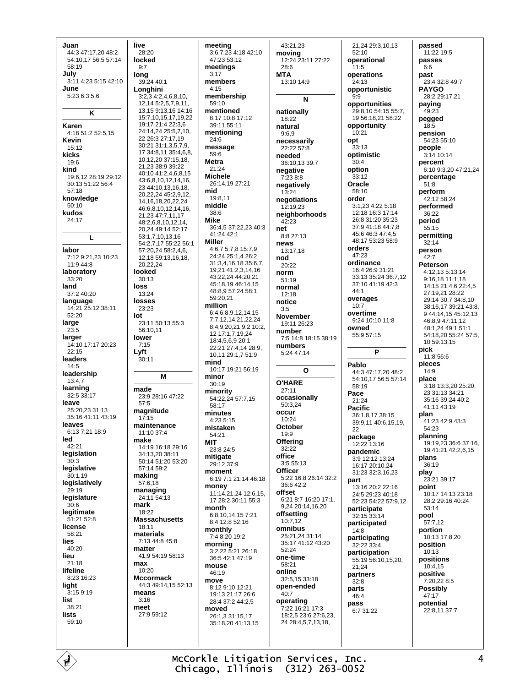Juan 44:3 47:17,20 48:2 54:10.17 56:5 57:14 58:19 July 3:11 4:23 5:15 42:10 June 5:23 6:3,5,6 K Karen 4:18 51:2 52:5,15 Kevin  $15.12$ kicks 19:6 kind 19:6,12 28:19 29:12 30:13 51:22 56:4  $57.18$ knowledge  $50:10$ kudos 24:17 L labor 7:12 9:21 23 10:23  $11.944.8$ laboratory  $33:20$ land  $37.240.20$ language 14:21 25:12 38:11  $52.20$ large 23:5 larger 14:10 17:17 20:23  $22.15$ leaders  $14:5$ leadership  $13:4.7$ learning 32:5 33:17 leave 25:20,23 31:13 35:16 41:11 43:19 leaves 6:13 7:21 18:9 led  $42.21$ legislation  $30.3$ legislative .<br>≀ິດ∙1 19 legislatively  $29.19$ legislature  $30.6$ legitimate 51:21 52:8 license  $58.21$ lies  $40.20$ lieu  $21:18$ lifeline 8:23 16:23 light  $3:159:19$ list 38:21 lists  $59.10$ 

live 28:20 locked  $9.7$ long 39:24 40:1 Longhini  $3:2,34:2,4,6,8,10,$ 12,14 5:2,5,7,9,11, 13, 15 9:13, 16 14:16 15.7 10 15 17 19 22 19:17 21:4 22:3 6 24:14.24 25:5.7.10. 22.26:3.27:17.19 30:21 31:1.3.5.7.9. 17 34:8,11 35:4,6,8, 10,12,20 37:15,18, 21.23 38:9 39:22 40:10 41:2,4,6,8,15 43:6,8,10,12,14,16, 23 44:10,13,16,18, 20,22,24 45:2,9,12, 14, 16, 18, 20, 22, 24 46:6,8,10,12,14,16, 21,23 47:7,11,17 48:2,6,8,10,12,14, 20.24 49:14 52:17 53:1 7 10 13 16 54:2.7.17 55:22 56:1 57:20.24 58:2.4.6. 12 18 59 13 16 18 20 22 24 looked  $30:13$ loss  $13.24$ losses  $23.23$ lot 23:11 50:13 55:3 56:10,11 lower  $7.15$ Lyft 30:11 M made 23:9 28:16 47:22  $57:5$ magnitude  $17.15$ maintenance 11:10 37:4 make 14:19 16:18 29:16 34:13.20 38:11  $50.1451.2053.20$  $57.1459.2$ making 57:6,18 managing 24:11 54:13 mark 18:22 **Massachusetts** 18:11 materials 7:13 44:8 45:8 matter 41:9 54:19 58:13 max 10:20 Mccormack 44:3 49:14 15 52:13 means  $3:16$ meet  $27.959.12$ 

meeting 3:6,7,23 4:18 42:10 47:23 53:12 meetings  $3:17$ members  $4:15$ membership  $59.10$ mentioned 8.17 10.8 17.12  $39.1155.11$ mentioning 24:6 message  $59:6$ **Metra** 21:24 **Michele** 26:14,19 27:21 mid  $19.811$ middle  $38:6$ **Mike** 36:4.5 37:22.23 40:3  $41.24421$ **Miller** 4:6.7 5:7.8 15:7.9  $24.2425.1426.2$ 31:3,4,16,18 35:6,7, 19,21 41:2,3,14,16 43:22,24 44:20,21 45:18.19 46:14.15 48:8,9 57:24 58:1 59:20,21 million 6:4.6.8.9.12.14.15 7:7.12.14.21.22.24 8:4,9,20,21 9:2 10:2, 12 17:1.7.19.24 18:4,5,6,9 20:1 22:21 27:4,14 28:9, 10,11 29:1,7 51:9 mind 10:17 19:21 56:19 minor  $30:19$ minority 54:22,24 57:7,15  $58.17$ minutes  $4:23.5:15$ mistaken 54:21 **MIT** 23:8 24:5 mitigate 29:12 37:9 moment 6:19 7:1 21:14 46:18 money 11:14.21.24 12:6.15. 17 28:2 30:11 55:3 month 6:8,10,14,15 7:21 8:4 12:8 52:16 monthly 7:4 8:20 19:2 morning 3:2,22 5:21 26:18 36:5 42:1 47:19 mouse 46:19 move  $8:129:1012:21$ 19:13 21:17 26:6 28:4 37:2 44:2.5 moved 26:1,3 31:15,17 35:18,20 41:13,15

43:21.23 moving 12:24 23:11 27:22  $28.6$ **MTA** 13:10 14:9 N nationally 18:22 natural  $9.6.9$ necessarily  $22.2257.8$ needed 36:10,13 39:7 negative  $7.23.8.8$ negatively  $13:24$ negotiations 12:19.23 neighborhoods 42:23 net 8:8 27:13 news  $13:17.18$ hod  $20.22$ norm  $51:19$ normal  $12.18$ notice  $3:5$ **November** 19:11 26:23 number 7:5 14:8 18:15 38:19 numbers 5:24 47:14  $\Omega$ **O'HARE**  $27.11$ occasionally 50:3,24 occur 10:24 October  $19.9$ **Offering** 32:22 office  $3:55:13$ Officer 5:22 16:8 26:14 32:2  $36.642.2$ offset 6:21 8:7 16:20 17:1. 9,24 20:14,16,20 offsetting  $10:7.12$ omnibus 25:21,24 31:14 35:17 41:12 43:20  $52:24$ one-time  $58.21$ online 32:5,15 33:18 open-ended 40:7 operating 7:22 16:21 17:3 18:2.5 23:6 27:6.23. 24 28:4,5,7,13,18,

21,24 29:3,10,13  $52:10$ operational  $11.5$ operations  $24.13$ opportunistic  $9:9$ opportunities 29.8 10.54.15.55.7 1956-182158-22 opportunity  $10:21$ opt  $33.13$ optimistic  $30.4$ option  $33:12$ Oracle  $58:10$ order 3:1,23 4:22 5:18 12:18 16:3 17:14 26:8 31:20 35:23 37:9 41:18 44:7.8 45:6 46:3 47:4,5 48:17 53:23 58:9 orders  $47.23$ ordinance 16:4 26:9 31:21 33:13 35:24 36:7,12 37:10 41:19 42:3  $44.1$ overages  $10.7$ overtime 9:24 10:10 11:8 owned 55:9 57:15 Þ Pablo  $44.347.172048.2$ 54:10 17 56:5 57:14  $58.19$ Pace  $21:24$ **Pacific** 36:1.8.17 38:15 39:9,11 40:6,15,19, つつ package 12:22 13:16 pandemic 3:9 12:12 13:24 16:17 20:10.24 31:23.32:3.16.23 part  $13.1620.223.16$ 24:5 29:23 40:18 52:23 54:22 57:9,12 participate 32:15 33:14 participated  $14:8$ participating 32:22 33:4 participation 55:19 56:10.15.20. 21 24 partners  $32:8$ parts  $46:4$ pass 6:7 31:22

passed 11:22 19:5 passes  $6.6$ past 23:4 32:8 49:7 **PAYGO** 28:2 29:17,21 paying  $49.23$ pegged 18:5 pension 54:23 55:10 people  $3:14$  10:14 percent 6:10 9:3.20 47:21.24 percentage  $51:8$ perform 42:12 58:24 performed 36:22 period  $55.15$ permitting 32:14 person  $42.7$ **Peterson** 4:12.13 5:13.14 9:16,18 11:1,18 14:15 21:4,6 22:4,5 27:19,21 28:22 29:14 30:7 34:8,10 38:16,17 39:21 43:8, 9 44:14,15 45:12,13 46:8,9 47:11,12 48:1.24 49:1 51:1 54:18,20 55:24 57:5, 10.59:13.15 pick 11:8 56:6 pieces  $14.9$ place 3:18 13:3.20 25:20. 23 31 13 34 21  $35.1639.2440.2$  $41.1143.19$ plan 41:23 42:9 43:3  $54.23$ planning 19:19,23 36:6 37:16, 19 41:21 42:2.6.15 plans 36:19 play 23:21 39:17 point 10:17 14:13 23:18 28:2 29:16 40:24  $53.14$ pool 57:7,12 nortion  $10.13$  17.8 20 position  $10:13$ positions  $10:415$ positive 7:20,22 8:5 **Possibly**  $47.17$ potential 22:8,11 37:7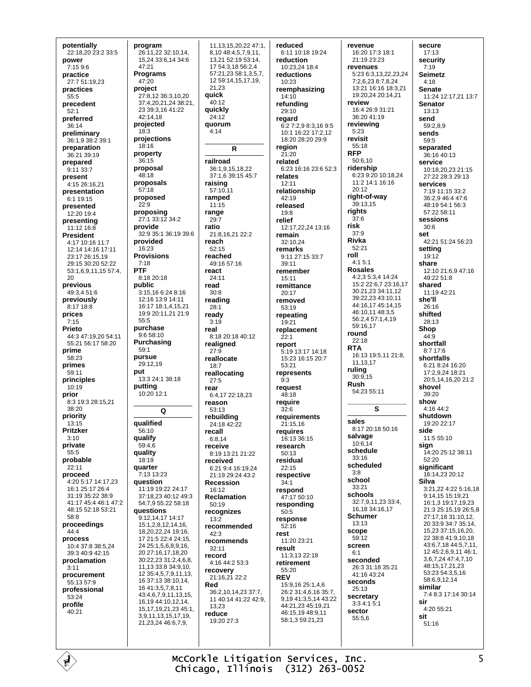potentially 22:18,20 23:2 33:5 power  $47:21$  $7.1596$ practice  $27.751.1923$ practices project  $55:5$ precedent  $52.1$ preferred 36:14 preliminary  $18:3$ 36:1,9 38:2 39:1 preparation 36:21 39:19  $36.15$ prepared 9:11 33:7 present 4:15 26:16.21 presentation 6:1 19:15  $22.9$ presented 12:20 19:4 presenting  $11.1216.8$ **President** 4:17 10:16 11:7 12:14 14:16 17:11 23:17 26:15,19 29:15 30:20 52:22  $7:18$ **PTF** 53:1.6.9.11.15 57:4.  $20$ previous public 49:3,4 51:6 previously 8:17 18:8 prices  $55.5$  $7:15$ **Printo** 44:3 47:19.20 54:11 55:21 56:17 58:20 prime  $59.1$ pursue 58:23 primes nut 59:11 principles putting  $10:19$ prior 8:3 19:3 28:15,21  $38.20$ priority  $13:15$ Pritzker qualify  $3:10$ private quality  $55.5$ probable  $22:11$ quarter proceed 4:20 5:17 14:17.23 16:1 25:17 26:4 31:19 35:22 38:9 41.17 45.4 46.1 47.2 48:15 52:18 53:21  $58.8$ proceedings  $44:4$ process 10:4 37:8 38:5 24 39:3 40:9 42:15 proclamation  $3:11$ procurement 55:13 57:9 professional  $53.24$ profile  $40:21$ 

program 26:11,22 32:10,14, 15,24 33:6,14 34:6 Programs  $47.20$ 27:8,12 36:3,10,20 37:4,20,21,24 38:21, 23 39:3,16 41:22 42:14.18 projected projections  $18.16$ property proposal  $48.18$ proposals  $57:18$ proposed **proposing**<br>27:1 33:12 34:2 provide 32:9 35:1 36:19 39:6 provided  $16.23$ **Provisions** 8:18 20:18 3:15.16 6:24 8:16 12:16 13:9 14:11 16:17 18:1,4,15,21 19:9 20:11, 21 21:9 purchase  $9:658:10$ Purchasing 29:12.19 13:3 24:1 38:18 10:20 12:1  $\overline{Q}$ qualified 56:10 59:4.6 18:19 7:13 13:23 question 11:19 19:22 24:17 37:18.23 40:12 49:3 54:7.9 55:22 58:18 questions 9:12,14,17 14:17 15:1,2,8,12,14,16, 18.20.22.24 19:16. 17 21:5 22:4 24:15. 24 25:1.5.6.8.9.16. 20 27:16.17.18.20 30:22.23 31:2.4.6.8. 11,13 33:8 34:9,10, 12 35:4.5.7.9.11.13. 16 37:13 38:10.14. 16 41:3,5,7,8,11 43:4,6,7,9,11,13,15, 16,19 44:10,12,14, 15, 17, 19, 21, 23 45: 1, 3.9.11.13.15.17.19. 21,23,24 46:6,7,9,

11.13.15.20.22 47:1. 8,10 48:4,5,7,9,11, 13.21 52:19 53:14. 17 54:3,18 56:2,4 57:21,23 58:1,3,5,7, 12 59:14,15,17,19, 21.23 quick 40:12 quickly  $24:12$ auorum  $4:14$  $\mathsf{R}$ railroad 36:1,9,15,18,22  $37.1639.1545.7$ raising 57:10,11 ramped  $11.15$ range  $29:7$ ratio 21:8,16,21 22:2 reach  $52.15$ reached 49:16 57:16 react  $24.11$ read  $30.8$ reading  $28:1$ ready  $3.19$ real 8:18 20:18 40:12 realigned  $27.9$ reallocate  $18:7$ reallocating  $27:5$ rear 6:4.17 22:18.23 reason 53:13 rebuildina 24:18 42:22 recall  $6.814$ receive 8:19 13:21 21:22 received 6:21.9:4.16:19.24  $21.192924432$ Recession  $16.12$ Reclamation  $50.19$ recognizes  $13.2$ recommended  $42:3$ recommends  $32.11$ record 4:16 44:2 53:3 recovery 21:16,21 22:2 Red 36:2.10.14.23 37:7. 11 40:14 41:22 42:9. 13 23 reduce 19:20 27:3

reduced 6:11 10:18 19:24 reduction  $10:23.24.18:4$ reductions  $10.23$ reemphasizing  $14:10$ refundina  $29.10$ regard 6:2 7:2,9 8:3,16 9:5 10:1 16:22 17:2,12 18:20 28:20 29:9 region  $21:20$ related 6:23 16:16 23:6 52:3 relates 12:11 relationshin  $42.19$ released  $19:8$ relief 12:17.22.24 13:16 remain 32:10,24 remarks 9:11 27:15 33:7  $39.11$ remember  $15:11$ remittance 20:17 removed 53:19 repeating  $19:21$ replacement  $22.1$ report 5:19 13:17 14:18 15:23 16:15 20:7  $53.21$ represents  $9:3$ request  $48.18$ require  $32:6$ requirements 21:15,16 requires 16:13 36:15 research 50:13 residual  $22:15$ respective  $34:1$ respond 47:17 50:10 responding  $50.5$ response  $52:16$ rest 11:20 23:21 result  $11:3$  13 22:18 retirement 55:20 **REV** 15:9.16 25:1.4.6 26:2.31:4.6.16.35:7 9 19 41 3 5 14 43 22 44:21,23 45:19,21 46.15.19.48.9.11 58:1.3 59:21.23

revenue 16:20 17:3 18:1 21:19 23:23 revenues 5:23 6:3.13.22.23.24  $7.262387824$ 13:21 16:16 18:3 21 19:20,24 20:14,21 review 16:4 26:9 31:21 36:20 41:19 reviewing  $5:23$ revisit 55:18 **RFP**  $50.610$ ridership 6:23 9:20 10:18.24 11:2 14:1 16:16  $20.12$ right-of-way 39:13,15 rights  $37.6$ risk  $37:9$ Rivka  $52.21$ roll  $4.15.1$ **Rosales** 4:2,3 5:3,4 14:24 15:2 22:6,7 23:16,17 30:21,23 34:11,12 39:22,23 43:10,11 44:16,17 45:14,15 46:10,11 48:3,5 56:2.4 57:1,4,19 59:16.17 round  $22:18$ **RTA** 16:13 19:5,11 21:8, 11.13.17 rulina  $30.915$ **Rush** 54:23 55:11 S sales 8:17 20:18 50:16 salvage  $10.6\bar{1}4$ schedule  $33:16$ scheduled  $3.8$ school  $33:21$ schools 32:7,9,11,23 33:4, 16, 18 34: 16, 17 Schumer  $13.13$ scope 59:12 screen  $6.1$ seconded 26:3 31:18 35:21 41:16 43:24 seconds 25:13 secretary  $3:34:15:1$ sector  $55.56$ 

secure  $17:13$ security  $7.19$ **Seimetz**  $A.18$ **Senate** 11:24 12:17,21 13:7 **Senator**  $13.13$ send 59:2,8,9 sends 59:5 separated 36:16 40:13 service 10:18,20,23 21:15 27:22 28:3 29:13 services  $7.1911.1533.2$  $36.29464476$ 48:19.54:1.56:3 57:22 58:11 sessions  $30:6$ set 42:21 51:24 56:23 setting 19:12 share 12:10 21:6,9 47:16  $49:2251:8$ shared  $11.1942.21$ she'll 26:16 shifted 28:13 Shop  $44.9$ shortfall 8:7 17:6 shortfalls 6.21 8.24 16:20 17:2.9.24 18:21 20:5,14,16,20 21:2 shovel  $39.20$ show  $4.16442$ shutdown  $19.2022.17$ side 11:5 55:10 sian  $14.20$   $25.12$   $38.11$  $52.20$ significant 16:14,23 20:12 **Silva** 3:21.22 4:22 5:16.18 9:14,15 15:19,21 16:1 3 19:17 19 23 21:3 25:15.19 26:5.8 27:17,18 31:10,12, 20 33:9 34:7 35:14, 15,23 37:15,16,20, 22 38:8 41:9,10,18 43:6,7,18 44:5,7,11, 12 45:2,6,9,11 46:1, 3,6,7,24 47:4,7,10 48:15,17,21,23 53:23 54:3,5,16 58:6,9,12,14 similar 7:4 8:3 17:14 30:14 sir 4:20 55:21 sit  $51.16$